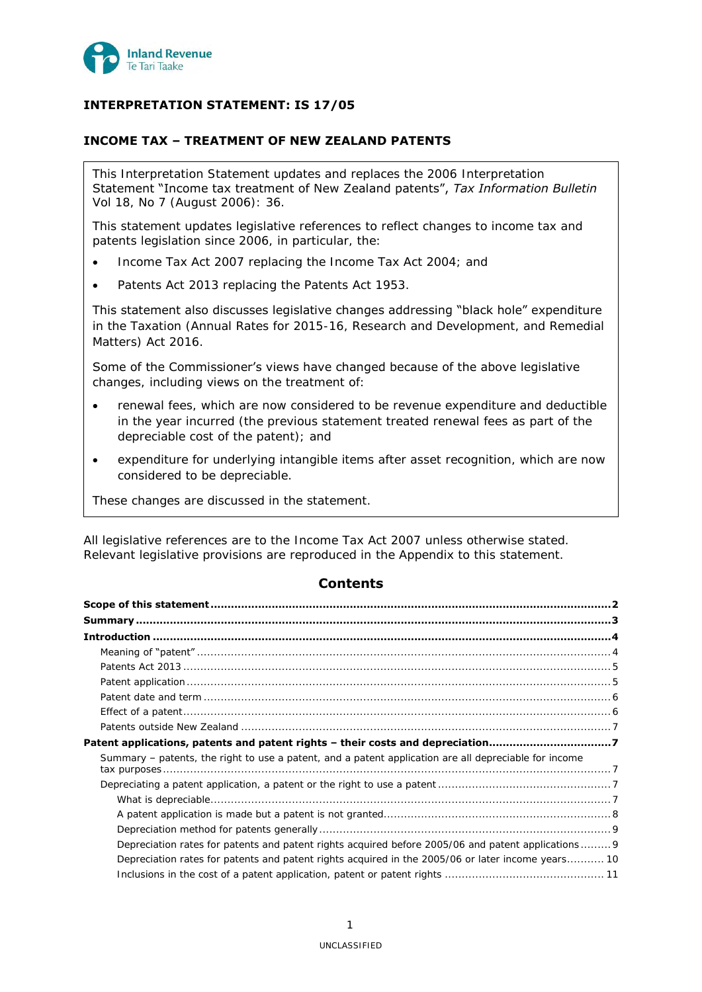

# **INTERPRETATION STATEMENT: IS 17/05**

# **INCOME TAX – TREATMENT OF NEW ZEALAND PATENTS**

This Interpretation Statement updates and replaces the 2006 Interpretation Statement "Income tax treatment of New Zealand patents", *Tax Information Bulletin* Vol 18, No 7 (August 2006): 36.

This statement updates legislative references to reflect changes to income tax and patents legislation since 2006, in particular, the:

- Income Tax Act 2007 replacing the Income Tax Act 2004; and
- Patents Act 2013 replacing the Patents Act 1953.

This statement also discusses legislative changes addressing "black hole" expenditure in the Taxation (Annual Rates for 2015-16, Research and Development, and Remedial Matters) Act 2016.

Some of the Commissioner's views have changed because of the above legislative changes, including views on the treatment of:

- renewal fees, which are now considered to be revenue expenditure and deductible in the year incurred (the previous statement treated renewal fees as part of the depreciable cost of the patent); and
- expenditure for underlying intangible items after asset recognition, which are now considered to be depreciable.

These changes are discussed in the statement.

All legislative references are to the Income Tax Act 2007 unless otherwise stated. Relevant legislative provisions are reproduced in the Appendix to this statement.

# **Contents**

| Patent applications, patents and patent rights - their costs and depreciation7                                                                                                                          |  |
|---------------------------------------------------------------------------------------------------------------------------------------------------------------------------------------------------------|--|
| Summary – patents, the right to use a patent, and a patent application are all depreciable for income                                                                                                   |  |
|                                                                                                                                                                                                         |  |
|                                                                                                                                                                                                         |  |
|                                                                                                                                                                                                         |  |
|                                                                                                                                                                                                         |  |
| Depreciation rates for patents and patent rights acquired before 2005/06 and patent applications 9<br>Depreciation rates for patents and patent rights acquired in the 2005/06 or later income years 10 |  |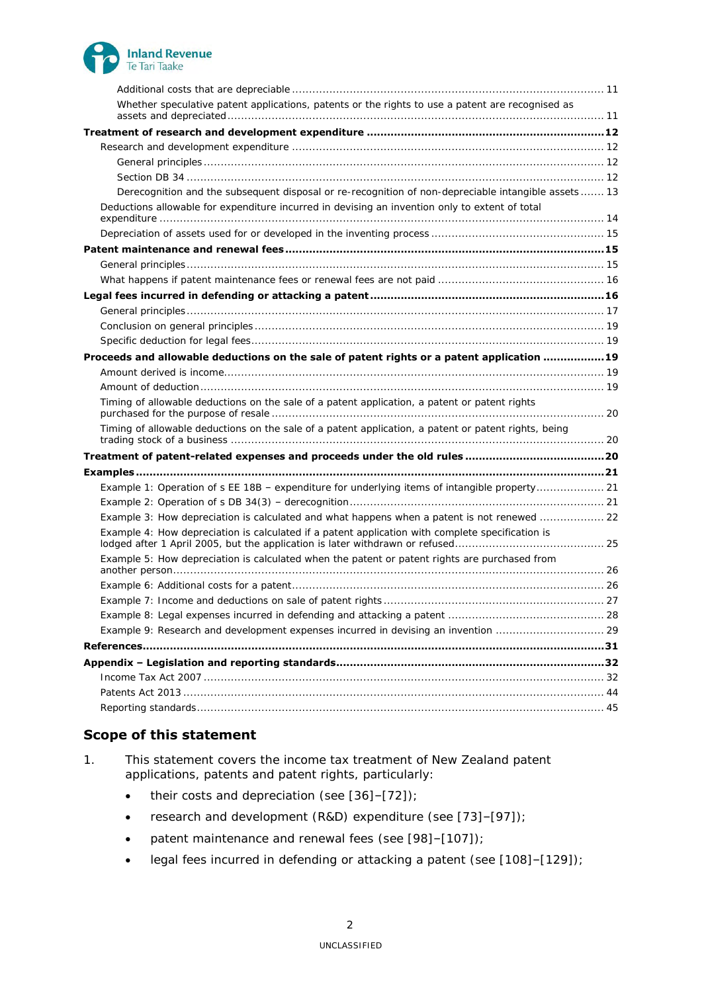

| Whether speculative patent applications, patents or the rights to use a patent are recognised as     |  |
|------------------------------------------------------------------------------------------------------|--|
|                                                                                                      |  |
|                                                                                                      |  |
|                                                                                                      |  |
|                                                                                                      |  |
| Derecognition and the subsequent disposal or re-recognition of non-depreciable intangible assets 13  |  |
| Deductions allowable for expenditure incurred in devising an invention only to extent of total       |  |
|                                                                                                      |  |
|                                                                                                      |  |
|                                                                                                      |  |
|                                                                                                      |  |
|                                                                                                      |  |
|                                                                                                      |  |
|                                                                                                      |  |
|                                                                                                      |  |
| Proceeds and allowable deductions on the sale of patent rights or a patent application  19           |  |
|                                                                                                      |  |
|                                                                                                      |  |
| Timing of allowable deductions on the sale of a patent application, a patent or patent rights        |  |
| Timing of allowable deductions on the sale of a patent application, a patent or patent rights, being |  |
|                                                                                                      |  |
|                                                                                                      |  |
| Example 1: Operation of s EE 18B - expenditure for underlying items of intangible property 21        |  |
|                                                                                                      |  |
| Example 3: How depreciation is calculated and what happens when a patent is not renewed  22          |  |
| Example 4: How depreciation is calculated if a patent application with complete specification is     |  |
| Example 5: How depreciation is calculated when the patent or patent rights are purchased from        |  |
|                                                                                                      |  |
|                                                                                                      |  |
|                                                                                                      |  |
| Example 9: Research and development expenses incurred in devising an invention  29                   |  |
|                                                                                                      |  |
|                                                                                                      |  |
|                                                                                                      |  |
|                                                                                                      |  |
|                                                                                                      |  |

# <span id="page-1-0"></span>**Scope of this statement**

1. This statement covers the income tax treatment of New Zealand patent applications, patents and patent rights, particularly:

- $\bullet$  their costs and depreciation (see [\[36\]](#page-6-5)-[\[72\]](#page-10-3));
- research and development (R&D) expenditure (see [\[73\]](#page-11-4)–[\[97\]](#page-14-3));
- patent maintenance and renewal fees (see [\[98\]](#page-14-4)–[\[107\]](#page-15-2));
- legal fees incurred in defending or attacking a patent (see [\[108\]](#page-15-3)–[\[129\]](#page-18-5));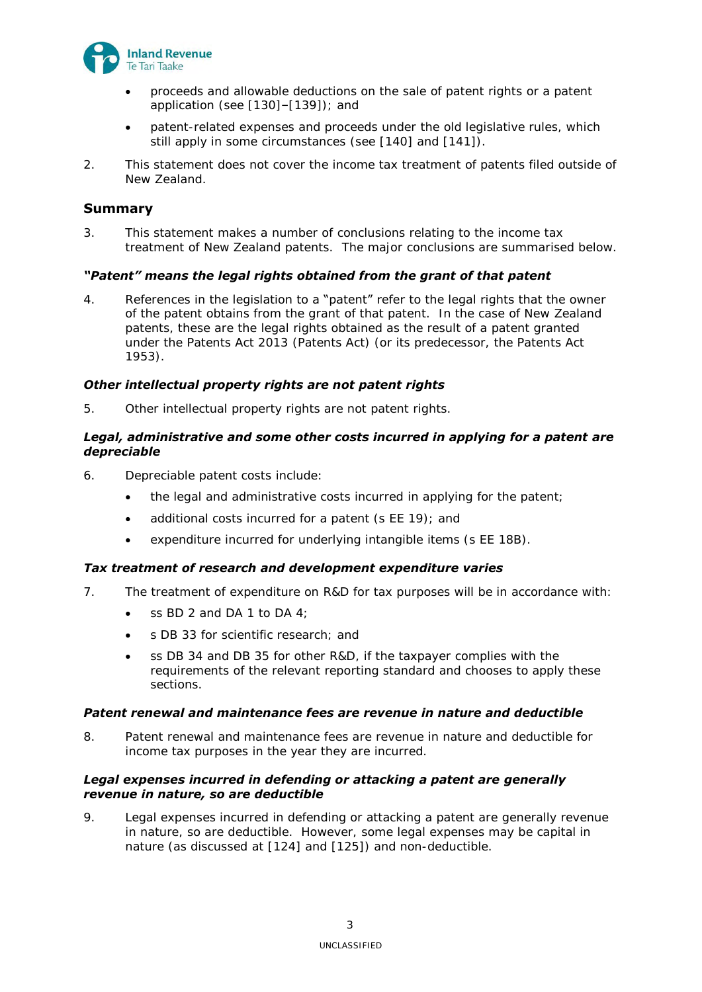

- proceeds and allowable deductions on the sale of patent rights or a patent application (see [\[130\]](#page-18-6)–[\[139\]](#page-19-3)); and
- patent-related expenses and proceeds under the old legislative rules, which still apply in some circumstances (see [\[140\]](#page-19-4) and [\[141\]](#page-19-5)).
- 2. This statement does not cover the income tax treatment of patents filed outside of New Zealand.

# <span id="page-2-0"></span>**Summary**

3. This statement makes a number of conclusions relating to the income tax treatment of New Zealand patents. The major conclusions are summarised below.

# *"Patent" means the legal rights obtained from the grant of that patent*

4. References in the legislation to a "patent" refer to the legal rights that the owner of the patent obtains from the grant of that patent. In the case of New Zealand patents, these are the legal rights obtained as the result of a patent granted under the Patents Act 2013 (Patents Act) (or its predecessor, the Patents Act 1953).

# *Other intellectual property rights are not patent rights*

5. Other intellectual property rights are not patent rights.

## *Legal, administrative and some other costs incurred in applying for a patent are depreciable*

- 6. Depreciable patent costs include:
	- the legal and administrative costs incurred in applying for the patent;
	- additional costs incurred for a patent (s EE 19); and
	- expenditure incurred for underlying intangible items (s EE 18B).

## *Tax treatment of research and development expenditure varies*

- 7. The treatment of expenditure on R&D for tax purposes will be in accordance with:
	- $\bullet$  ss BD 2 and DA 1 to DA 4;
	- s DB 33 for scientific research; and
	- ss DB 34 and DB 35 for other R&D, if the taxpayer complies with the requirements of the relevant reporting standard and chooses to apply these sections.

## *Patent renewal and maintenance fees are revenue in nature and deductible*

8. Patent renewal and maintenance fees are revenue in nature and deductible for income tax purposes in the year they are incurred.

## *Legal expenses incurred in defending or attacking a patent are generally revenue in nature, so are deductible*

9. Legal expenses incurred in defending or attacking a patent are generally revenue in nature, so are deductible. However, some legal expenses may be capital in nature (as discussed at [\[124\]](#page-17-0) and [\[125\]](#page-17-1)) and non-deductible.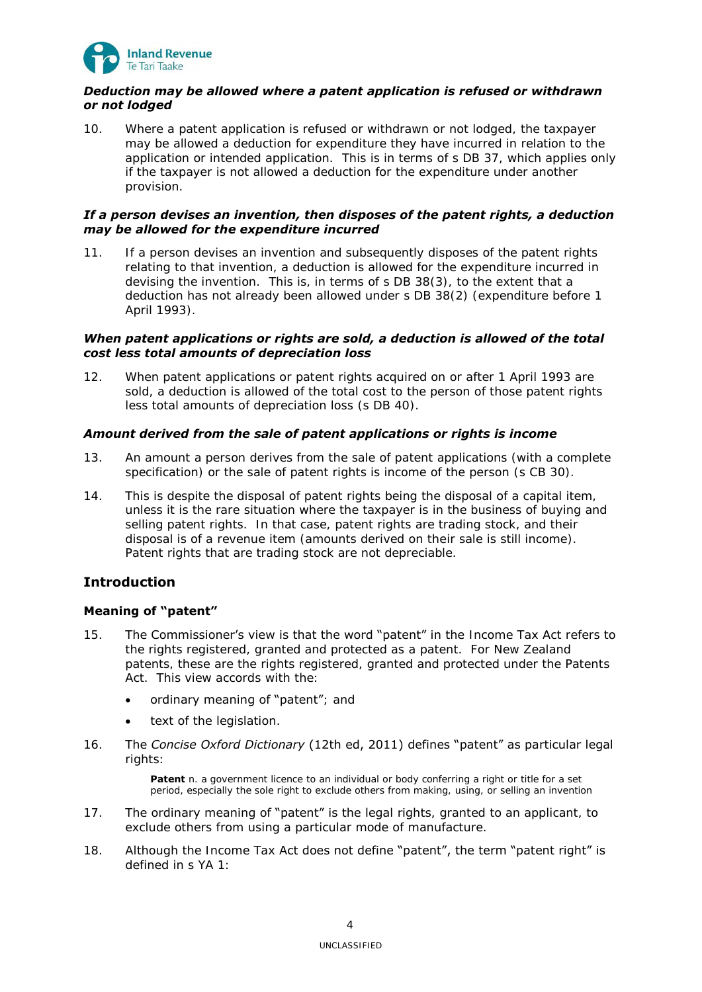

# *Deduction may be allowed where a patent application is refused or withdrawn or not lodged*

10. Where a patent application is refused or withdrawn or not lodged, the taxpayer may be allowed a deduction for expenditure they have incurred in relation to the application or intended application. This is in terms of s DB 37, which applies only if the taxpayer is not allowed a deduction for the expenditure under another provision.

## *If a person devises an invention, then disposes of the patent rights, a deduction may be allowed for the expenditure incurred*

11. If a person devises an invention and subsequently disposes of the patent rights relating to that invention, a deduction is allowed for the expenditure incurred in devising the invention. This is, in terms of s DB 38(3), to the extent that a deduction has not already been allowed under s DB 38(2) (expenditure before 1 April 1993).

# *When patent applications or rights are sold, a deduction is allowed of the total cost less total amounts of depreciation loss*

12. When patent applications or patent rights acquired on or after 1 April 1993 are sold, a deduction is allowed of the total cost to the person of those patent rights less total amounts of depreciation loss (s DB 40).

# *Amount derived from the sale of patent applications or rights is income*

- 13. An amount a person derives from the sale of patent applications (with a complete specification) or the sale of patent rights is income of the person (s CB 30).
- 14. This is despite the disposal of patent rights being the disposal of a capital item, unless it is the rare situation where the taxpayer is in the business of buying and selling patent rights. In that case, patent rights are trading stock, and their disposal is of a revenue item (amounts derived on their sale is still income). Patent rights that are trading stock are not depreciable.

# <span id="page-3-0"></span>**Introduction**

# <span id="page-3-1"></span>**Meaning of "patent"**

- 15. The Commissioner's view is that the word "patent" in the Income Tax Act refers to the rights registered, granted and protected as a patent. For New Zealand patents, these are the rights registered, granted and protected under the Patents Act. This view accords with the:
	- ordinary meaning of "patent"; and
	- text of the legislation.
- 16. The *Concise Oxford Dictionary* (12th ed, 2011) defines "patent" as particular legal rights:

**Patent** n. a government licence to an individual or body conferring a right or title for a set period, especially the sole right to exclude others from making, using, or selling an invention

- 17. The ordinary meaning of "patent" is the legal rights, granted to an applicant, to exclude others from using a particular mode of manufacture.
- 18. Although the Income Tax Act does not define "patent", the term "patent right" is defined in s YA 1: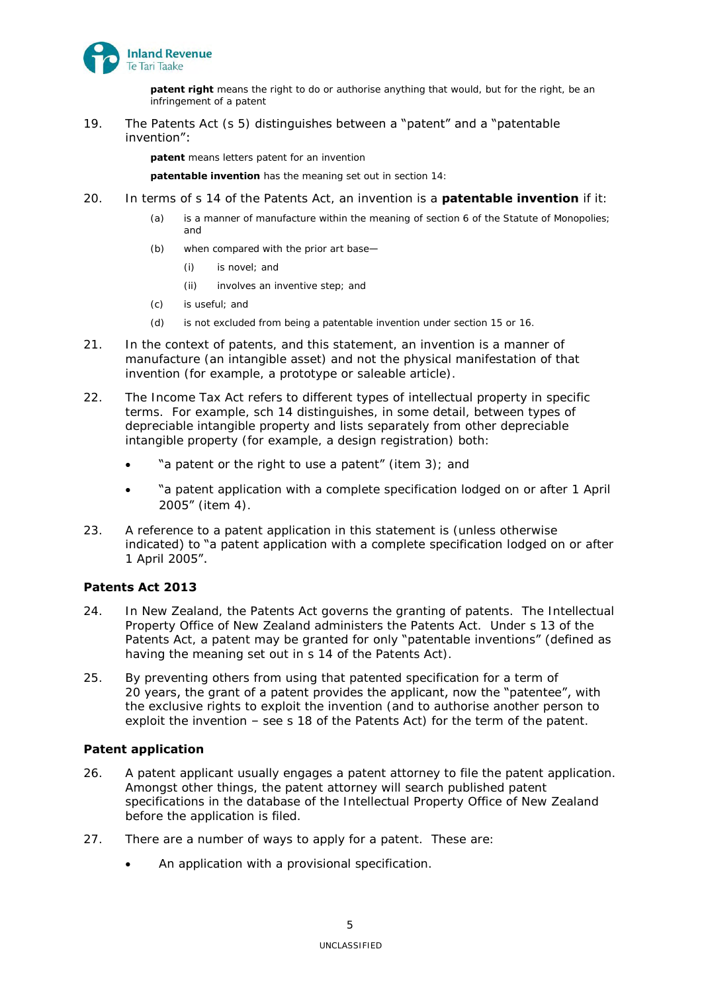

**patent right** means the right to do or authorise anything that would, but for the right, be an infringement of a patent

19. The Patents Act (s 5) distinguishes between a "patent" and a "patentable invention":

**patent** means letters patent for an invention

**patentable invention** has the meaning set out in section 14:

- 20. In terms of s 14 of the Patents Act, an invention is a **patentable invention** if it:
	- (a) is a manner of manufacture within the meaning of section 6 of the Statute of Monopolies; and
	- (b) when compared with the prior art base—
		- (i) is novel; and
		- (ii) involves an inventive step; and
	- (c) is useful; and
	- (d) is not excluded from being a patentable invention under section 15 or 16.
- 21. In the context of patents, and this statement, an invention is a manner of manufacture (an intangible asset) and not the physical manifestation of that invention (for example, a prototype or saleable article).
- <span id="page-4-2"></span>22. The Income Tax Act refers to different types of intellectual property in specific terms. For example, sch 14 distinguishes, in some detail, between types of depreciable intangible property and lists separately from other depreciable intangible property (for example, a design registration) both:
	- "a patent or the right to use a patent" (item 3); and
	- "a patent application with a complete specification lodged on or after 1 April 2005" (item 4).
- 23. A reference to a patent application in this statement is (unless otherwise indicated) to "a patent application with a complete specification lodged on or after 1 April 2005".

# <span id="page-4-0"></span>**Patents Act 2013**

- 24. In New Zealand, the Patents Act governs the granting of patents. The Intellectual Property Office of New Zealand administers the Patents Act. Under s 13 of the Patents Act, a patent may be granted for only "patentable inventions" (defined as having the meaning set out in s 14 of the Patents Act).
- 25. By preventing others from using that patented specification for a term of 20 years, the grant of a patent provides the applicant, now the "patentee", with the exclusive rights to exploit the invention (and to authorise another person to exploit the invention – see s 18 of the Patents Act) for the term of the patent.

## <span id="page-4-1"></span>**Patent application**

- 26. A patent applicant usually engages a patent attorney to file the patent application. Amongst other things, the patent attorney will search published patent specifications in the database of the Intellectual Property Office of New Zealand before the application is filed.
- 27. There are a number of ways to apply for a patent. These are:
	- An application with a provisional specification.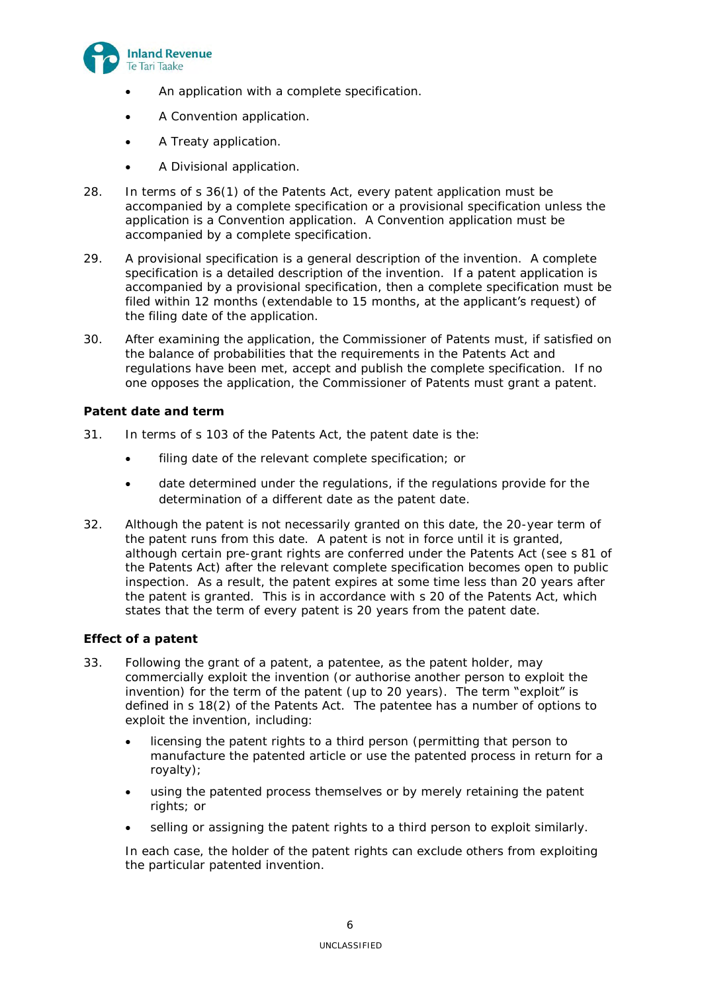

- An application with a complete specification.
- A Convention application.
- A Treaty application.
- A Divisional application.
- 28. In terms of s 36(1) of the Patents Act, every patent application must be accompanied by a complete specification or a provisional specification unless the application is a Convention application. A Convention application must be accompanied by a complete specification.
- 29. A provisional specification is a general description of the invention. A complete specification is a detailed description of the invention. If a patent application is accompanied by a provisional specification, then a complete specification must be filed within 12 months (extendable to 15 months, at the applicant's request) of the filing date of the application.
- 30. After examining the application, the Commissioner of Patents must, if satisfied on the balance of probabilities that the requirements in the Patents Act and regulations have been met, accept and publish the complete specification. If no one opposes the application, the Commissioner of Patents must grant a patent.

## <span id="page-5-0"></span>**Patent date and term**

- 31. In terms of s 103 of the Patents Act, the patent date is the:
	- filing date of the relevant complete specification; or
	- date determined under the regulations, if the regulations provide for the determination of a different date as the patent date.
- 32. Although the patent is not necessarily granted on this date, the 20-year term of the patent runs from this date. A patent is not in force until it is granted, although certain pre-grant rights are conferred under the Patents Act (see s 81 of the Patents Act) after the relevant complete specification becomes open to public inspection. As a result, the patent expires at some time less than 20 years after the patent is granted. This is in accordance with s 20 of the Patents Act, which states that the term of every patent is 20 years from the patent date.

## <span id="page-5-1"></span>**Effect of a patent**

- 33. Following the grant of a patent, a patentee, as the patent holder, may commercially exploit the invention (or authorise another person to exploit the invention) for the term of the patent (up to 20 years). The term "exploit" is defined in s 18(2) of the Patents Act. The patentee has a number of options to exploit the invention, including:
	- licensing the patent rights to a third person (permitting that person to manufacture the patented article or use the patented process in return for a royalty);
	- using the patented process themselves or by merely retaining the patent rights; or
	- selling or assigning the patent rights to a third person to exploit similarly.

In each case, the holder of the patent rights can exclude others from exploiting the particular patented invention.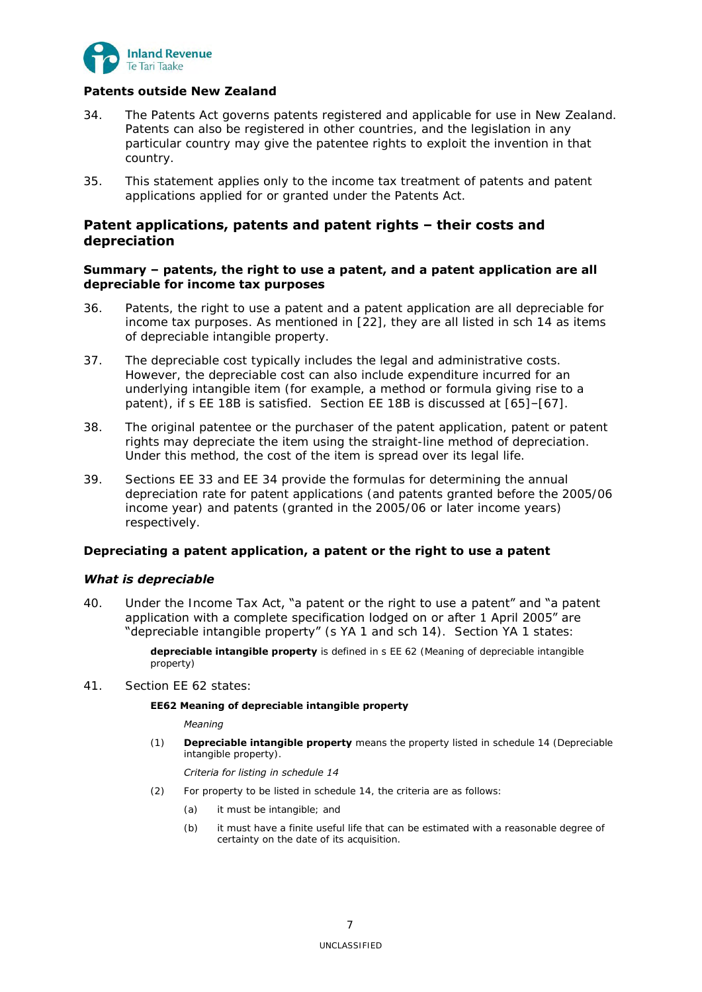

# <span id="page-6-0"></span>**Patents outside New Zealand**

- 34. The Patents Act governs patents registered and applicable for use in New Zealand. Patents can also be registered in other countries, and the legislation in any particular country may give the patentee rights to exploit the invention in that country.
- 35. This statement applies only to the income tax treatment of patents and patent applications applied for or granted under the Patents Act.

# <span id="page-6-1"></span>**Patent applications, patents and patent rights – their costs and depreciation**

## <span id="page-6-2"></span>**Summary – patents, the right to use a patent, and a patent application are all depreciable for income tax purposes**

- <span id="page-6-5"></span>36. Patents, the right to use a patent and a patent application are all depreciable for income tax purposes. As mentioned in [\[22\]](#page-4-2), they are all listed in sch 14 as items of depreciable intangible property.
- 37. The depreciable cost typically includes the legal and administrative costs. However, the depreciable cost can also include expenditure incurred for an underlying intangible item (for example, a method or formula giving rise to a patent), if s EE 18B is satisfied. Section EE 18B is discussed at [\[65\]](#page-10-4)–[\[67\]](#page-10-5).
- 38. The original patentee or the purchaser of the patent application, patent or patent rights may depreciate the item using the straight-line method of depreciation. Under this method, the cost of the item is spread over its legal life.
- 39. Sections EE 33 and EE 34 provide the formulas for determining the annual depreciation rate for patent applications (and patents granted before the 2005/06 income year) and patents (granted in the 2005/06 or later income years) respectively.

## <span id="page-6-4"></span><span id="page-6-3"></span>**Depreciating a patent application, a patent or the right to use a patent**

## *What is depreciable*

40. Under the Income Tax Act, "a patent or the right to use a patent" and "a patent" application with a complete specification lodged on or after 1 April 2005" are "depreciable intangible property" (s YA 1 and sch 14). Section YA 1 states:

> **depreciable intangible property** is defined in s EE 62 (Meaning of depreciable intangible property)

41. Section EE 62 states:

## **EE62 Meaning of depreciable intangible property**

*Meaning*

(1) **Depreciable intangible property** means the property listed in schedule 14 (Depreciable intangible property).

### *Criteria for listing in schedule 14*

- (2) For property to be listed in schedule 14, the criteria are as follows:
	- (a) it must be intangible; and
	- (b) it must have a finite useful life that can be estimated with a reasonable degree of certainty on the date of its acquisition.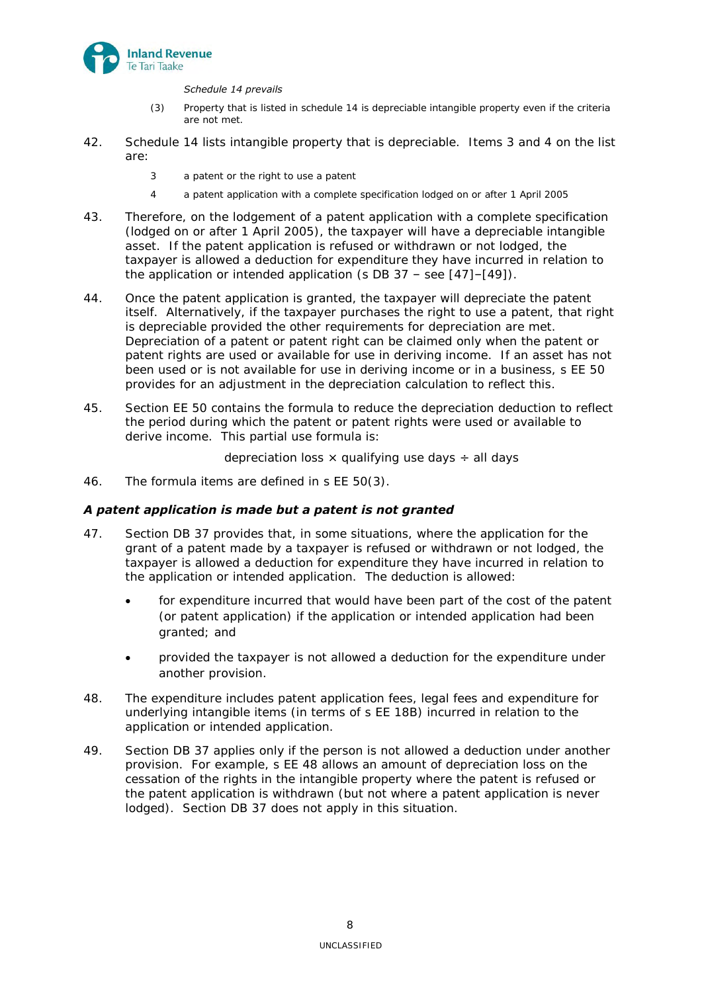

## *Schedule 14 prevails*

- (3) Property that is listed in schedule 14 is depreciable intangible property even if the criteria are not met.
- 42. Schedule 14 lists intangible property that is depreciable. Items 3 and 4 on the list are:
	- 3 a patent or the right to use a patent
	- 4 a patent application with a complete specification lodged on or after 1 April 2005
- 43. Therefore, on the lodgement of a patent application with a complete specification (lodged on or after 1 April 2005), the taxpayer will have a depreciable intangible asset. If the patent application is refused or withdrawn or not lodged, the taxpayer is allowed a deduction for expenditure they have incurred in relation to the application or intended application (s DB  $37 -$  see [\[47\]](#page-7-1)–[\[49\]](#page-7-2)).
- 44. Once the patent application is granted, the taxpayer will depreciate the patent itself. Alternatively, if the taxpayer purchases the right to use a patent, that right is depreciable provided the other requirements for depreciation are met. Depreciation of a patent or patent right can be claimed only when the patent or patent rights are used or available for use in deriving income. If an asset has not been used or is not available for use in deriving income or in a business, s EE 50 provides for an adjustment in the depreciation calculation to reflect this.
- 45. Section EE 50 contains the formula to reduce the depreciation deduction to reflect the period during which the patent or patent rights were used or available to derive income. This partial use formula is:

depreciation loss  $\times$  qualifying use days  $\div$  all days

46. The formula items are defined in s EE 50(3).

# <span id="page-7-0"></span>*A patent application is made but a patent is not granted*

- <span id="page-7-1"></span>47. Section DB 37 provides that, in some situations, where the application for the grant of a patent made by a taxpayer is refused or withdrawn or not lodged, the taxpayer is allowed a deduction for expenditure they have incurred in relation to the application or intended application. The deduction is allowed:
	- for expenditure incurred that would have been part of the cost of the patent (or patent application) if the application or intended application had been granted; and
	- provided the taxpayer is not allowed a deduction for the expenditure under another provision.
- 48. The expenditure includes patent application fees, legal fees and expenditure for underlying intangible items (in terms of s EE 18B) incurred in relation to the application or intended application.
- <span id="page-7-2"></span>49. Section DB 37 applies only if the person is not allowed a deduction under another provision. For example, s EE 48 allows an amount of depreciation loss on the cessation of the rights in the intangible property where the patent is refused or the patent application is withdrawn (but not where a patent application is never lodged). Section DB 37 does not apply in this situation.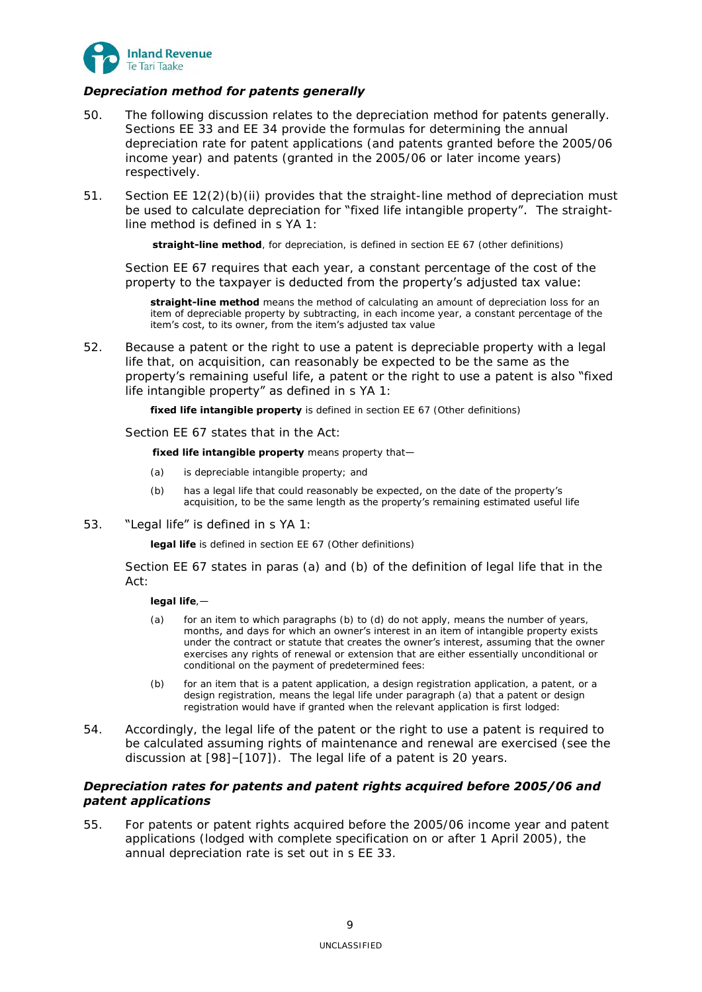

# <span id="page-8-0"></span>*Depreciation method for patents generally*

- 50. The following discussion relates to the depreciation method for patents generally. Sections EE 33 and EE 34 provide the formulas for determining the annual depreciation rate for patent applications (and patents granted before the 2005/06 income year) and patents (granted in the 2005/06 or later income years) respectively.
- 51. Section EE  $12(2)(b)(ii)$  provides that the straight-line method of depreciation must be used to calculate depreciation for "fixed life intangible property". The straightline method is defined in s YA 1:

**straight-line method**, for depreciation, is defined in section EE 67 (other definitions)

Section EE 67 requires that each year, a constant percentage of the cost of the property to the taxpayer is deducted from the property's adjusted tax value:

**straight-line method** means the method of calculating an amount of depreciation loss for an item of depreciable property by subtracting, in each income year, a constant percentage of the item's cost, to its owner, from the item's adjusted tax value

52. Because a patent or the right to use a patent is depreciable property with a legal life that, on acquisition, can reasonably be expected to be the same as the property's remaining useful life, a patent or the right to use a patent is also "fixed life intangible property" as defined in s YA 1:

**fixed life intangible property** is defined in section EE 67 (Other definitions)

Section EE 67 states that in the Act:

**fixed life intangible property** means property that—

- (a) is depreciable intangible property; and
- (b) has a legal life that could reasonably be expected, on the date of the property's acquisition, to be the same length as the property's remaining estimated useful life
- 53. "Legal life" is defined in s YA 1:

**legal life** is defined in section EE 67 (Other definitions)

Section EE 67 states in paras (a) and (b) of the definition of legal life that in the Act:

## **legal life**,—

- (a) for an item to which paragraphs (b) to (d) do not apply, means the number of years, months, and days for which an owner's interest in an item of intangible property exists under the contract or statute that creates the owner's interest, assuming that the owner exercises any rights of renewal or extension that are either essentially unconditional or conditional on the payment of predetermined fees:
- (b) for an item that is a patent application, a design registration application, a patent, or a design registration, means the legal life under paragraph (a) that a patent or design registration would have if granted when the relevant application is first lodged:
- 54. Accordingly, the legal life of the patent or the right to use a patent is required to be calculated assuming rights of maintenance and renewal are exercised (see the discussion at [\[98\]](#page-14-4)–[\[107\]](#page-15-2)). The legal life of a patent is 20 years.

## <span id="page-8-1"></span>*Depreciation rates for patents and patent rights acquired before 2005/06 and patent applications*

55. For patents or patent rights acquired before the 2005/06 income year and patent applications (lodged with complete specification on or after 1 April 2005), the annual depreciation rate is set out in s EE 33.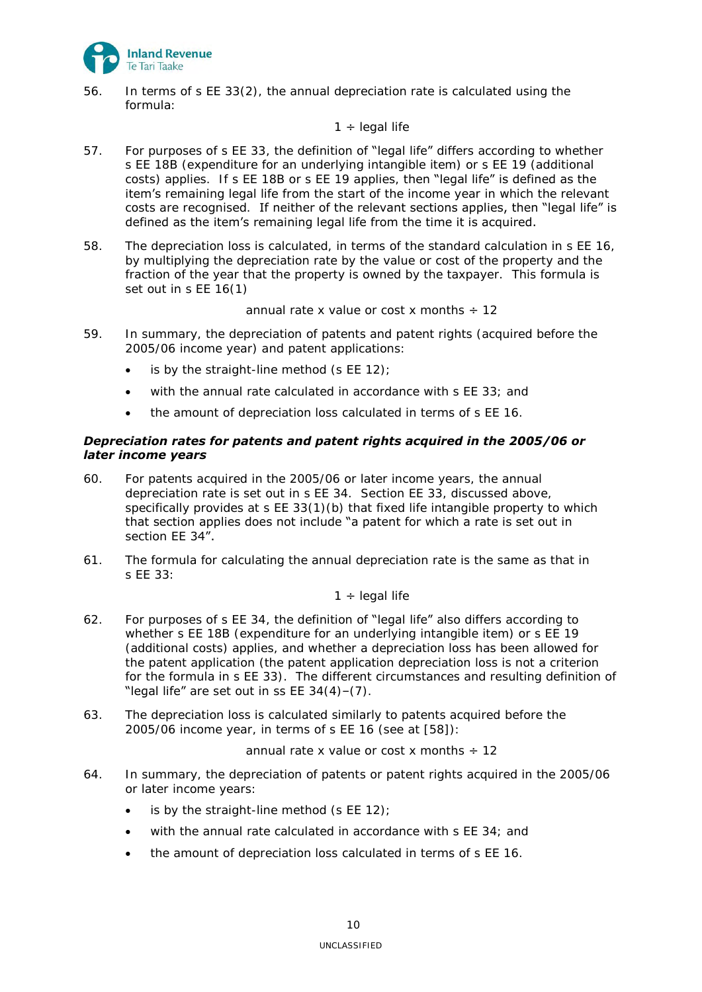

56. In terms of s EE 33(2), the annual depreciation rate is calculated using the formula:

## $1 \div$  legal life

- 57. For purposes of s EE 33, the definition of "legal life" differs according to whether s EE 18B (expenditure for an underlying intangible item) or s EE 19 (additional costs) applies. If s EE 18B or s EE 19 applies, then "legal life" is defined as the item's remaining legal life from the start of the income year in which the relevant costs are recognised. If neither of the relevant sections applies, then "legal life" is defined as the item's remaining legal life from the time it is acquired.
- <span id="page-9-1"></span>58. The depreciation loss is calculated, in terms of the standard calculation in s EE 16, by multiplying the depreciation rate by the value or cost of the property and the fraction of the year that the property is owned by the taxpayer. This formula is set out in s EE 16(1)

annual rate x value or cost x months  $\div$  12

- 59. In summary, the depreciation of patents and patent rights (acquired before the 2005/06 income year) and patent applications:
	- $\bullet$  is by the straight-line method (s EE 12);
	- with the annual rate calculated in accordance with s EE 33; and
	- the amount of depreciation loss calculated in terms of s EE 16.

# <span id="page-9-0"></span>*Depreciation rates for patents and patent rights acquired in the 2005/06 or later income years*

- 60. For patents acquired in the 2005/06 or later income years, the annual depreciation rate is set out in s EE 34. Section EE 33, discussed above, specifically provides at s EE 33(1)(b) that fixed life intangible property to which that section applies does not include "a patent for which a rate is set out in section EE 34".
- 61. The formula for calculating the annual depreciation rate is the same as that in s EE 33:

## $1 \div$  legal life

- 62. For purposes of s EE 34, the definition of "legal life" also differs according to whether s EE 18B (expenditure for an underlying intangible item) or s EE 19 (additional costs) applies, and whether a depreciation loss has been allowed for the patent application (the patent application depreciation loss is not a criterion for the formula in s EE 33). The different circumstances and resulting definition of "legal life" are set out in ss  $EE$  34(4)-(7).
- 63. The depreciation loss is calculated similarly to patents acquired before the 2005/06 income year, in terms of s EE 16 (see at  $[58]$ ):

annual rate x value or cost x months  $\div$  12

- 64. In summary, the depreciation of patents or patent rights acquired in the 2005/06 or later income years:
	- is by the straight-line method (s EE 12);
	- with the annual rate calculated in accordance with s EE 34; and
	- the amount of depreciation loss calculated in terms of s EE 16.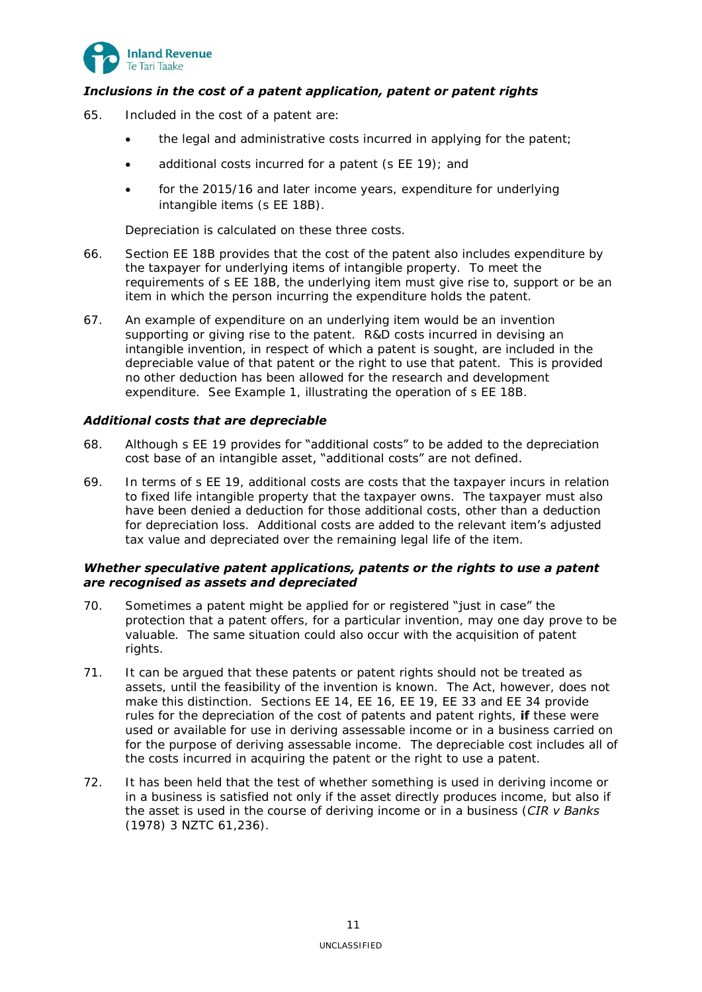

# <span id="page-10-0"></span>*Inclusions in the cost of a patent application, patent or patent rights*

- <span id="page-10-4"></span>65. Included in the cost of a patent are:
	- the legal and administrative costs incurred in applying for the patent;
	- additional costs incurred for a patent (s EE 19); and
	- for the 2015/16 and later income years, expenditure for underlying intangible items (s EE 18B).

Depreciation is calculated on these three costs.

- 66. Section EE 18B provides that the cost of the patent also includes expenditure by the taxpayer for underlying items of intangible property. To meet the requirements of s EE 18B, the underlying item must give rise to, support or be an item in which the person incurring the expenditure holds the patent.
- <span id="page-10-5"></span>67. An example of expenditure on an underlying item would be an invention supporting or giving rise to the patent. R&D costs incurred in devising an intangible invention, in respect of which a patent is sought, are included in the depreciable value of that patent or the right to use that patent. This is provided no other deduction has been allowed for the research and development expenditure. See Example 1, illustrating the operation of s EE 18B.

# <span id="page-10-1"></span>*Additional costs that are depreciable*

- 68. Although s EE 19 provides for "additional costs" to be added to the depreciation cost base of an intangible asset, "additional costs" are not defined.
- 69. In terms of s EE 19, additional costs are costs that the taxpayer incurs in relation to fixed life intangible property that the taxpayer owns. The taxpayer must also have been denied a deduction for those additional costs, other than a deduction for depreciation loss. Additional costs are added to the relevant **item's adjusted** tax value and depreciated over the remaining legal life of the item.

## <span id="page-10-2"></span>*Whether speculative patent applications, patents or the rights to use a patent are recognised as assets and depreciated*

- 70. Sometimes a patent might be applied for or registered "just in case" the protection that a patent offers, for a particular invention, may one day prove to be valuable. The same situation could also occur with the acquisition of patent rights.
- 71. It can be argued that these patents or patent rights should not be treated as assets, until the feasibility of the invention is known. The Act, however, does not make this distinction. Sections EE 14, EE 16, EE 19, EE 33 and EE 34 provide rules for the depreciation of the cost of patents and patent rights, **if** these were used or available for use in deriving assessable income or in a business carried on for the purpose of deriving assessable income. The depreciable cost includes all of the costs incurred in acquiring the patent or the right to use a patent.
- <span id="page-10-3"></span>72. It has been held that the test of whether something is used in deriving income or in a business is satisfied not only if the asset directly produces income, but also if the asset is used in the course of deriving income or in a business (*CIR v Banks*  (1978) 3 NZTC 61,236).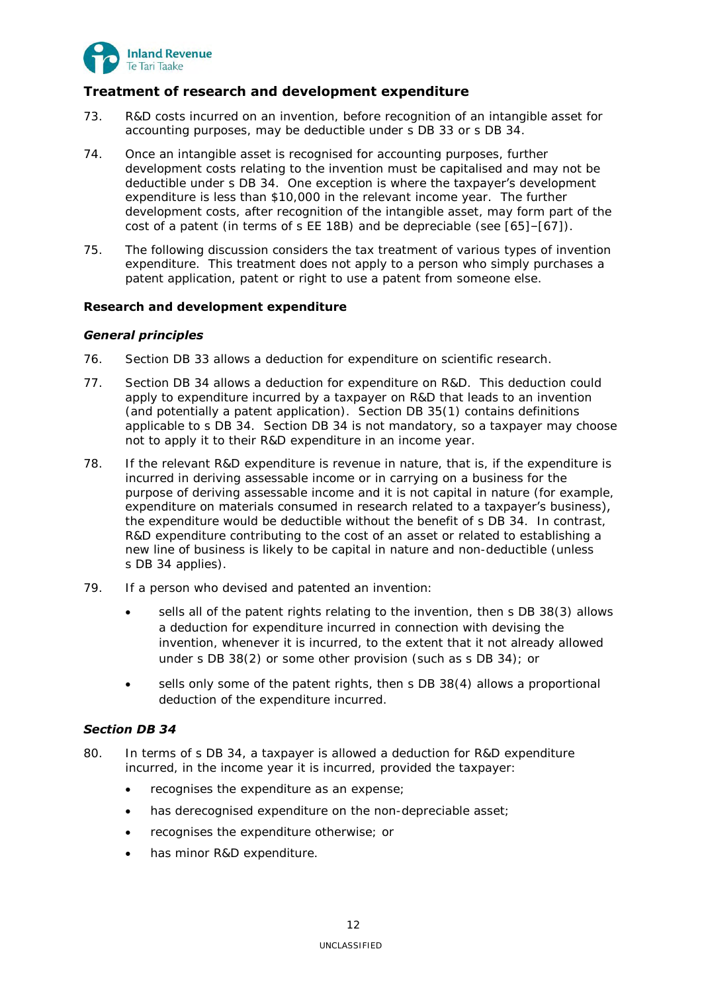

# <span id="page-11-0"></span>**Treatment of research and development expenditure**

- <span id="page-11-4"></span>73. R&D costs incurred on an invention, before recognition of an intangible asset for accounting purposes, may be deductible under s DB 33 or s DB 34.
- 74. Once an intangible asset is recognised for accounting purposes, further development costs relating to the invention must be capitalised and may not be deductible under s DB 34. One exception is where the taxpayer's development expenditure is less than \$10,000 in the relevant income year. The further development costs, after recognition of the intangible asset, may form part of the cost of a patent (in terms of s EE 18B) and be depreciable (see [\[65\]](#page-10-4)–[\[67\]](#page-10-5)).
- 75. The following discussion considers the tax treatment of various types of invention expenditure. This treatment does not apply to a person who simply purchases a patent application, patent or right to use a patent from someone else.

## <span id="page-11-2"></span><span id="page-11-1"></span>**Research and development expenditure**

# *General principles*

- 76. Section DB 33 allows a deduction for expenditure on scientific research.
- 77. Section DB 34 allows a deduction for expenditure on R&D. This deduction could apply to expenditure incurred by a taxpayer on R&D that leads to an invention (and potentially a patent application). Section DB 35(1) contains definitions applicable to s DB 34. Section DB 34 is not mandatory, so a taxpayer may choose not to apply it to their R&D expenditure in an income year.
- 78. If the relevant R&D expenditure is revenue in nature, that is, if the expenditure is incurred in deriving assessable income or in carrying on a business for the purpose of deriving assessable income and it is not capital in nature (for example, expenditure on materials consumed in research related to a taxpayer's business), the expenditure would be deductible without the benefit of s DB 34. In contrast, R&D expenditure contributing to the cost of an asset or related to establishing a new line of business is likely to be capital in nature and non-deductible (unless s DB 34 applies).
- 79. If a person who devised and patented an invention:
	- sells all of the patent rights relating to the invention, then s DB 38(3) allows a deduction for expenditure incurred in connection with devising the invention, whenever it is incurred, to the extent that it not already allowed under s DB 38(2) or some other provision (such as s DB 34); or
	- sells only some of the patent rights, then s DB 38(4) allows a proportional deduction of the expenditure incurred.

# <span id="page-11-3"></span>*Section DB 34*

- 80. In terms of s DB 34, a taxpayer is allowed a deduction for R&D expenditure incurred, in the income year it is incurred, provided the taxpayer:
	- recognises the expenditure as an expense;
	- has derecognised expenditure on the non-depreciable asset;
	- recognises the expenditure otherwise; or
	- has minor R&D expenditure.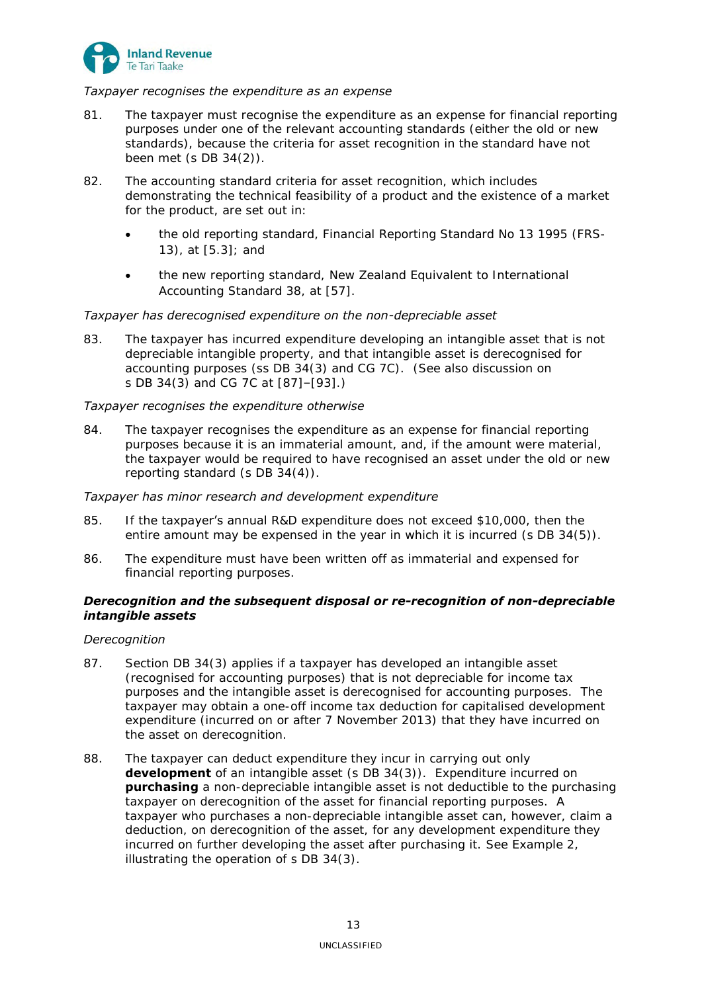

## *Taxpayer recognises the expenditure as an expense*

- 81. The taxpayer must recognise the expenditure as an expense for financial reporting purposes under one of the relevant accounting standards (either the old or new standards), because the criteria for asset recognition in the standard have not been met (s DB 34(2)).
- 82. The accounting standard criteria for asset recognition, which includes demonstrating the technical feasibility of a product and the existence of a market for the product, are set out in:
	- the old reporting standard, Financial Reporting Standard No 13 1995 (FRS-13), at [5.3]; and
	- the new reporting standard, New Zealand Equivalent to International Accounting Standard 38, at [57].

## *Taxpayer has derecognised expenditure on the non-depreciable asset*

83. The taxpayer has incurred expenditure developing an intangible asset that is not depreciable intangible property, and that intangible asset is derecognised for accounting purposes (ss DB 34(3) and CG 7C). (See also discussion on s DB 34(3) and CG 7C at [\[87\]](#page-12-1)–[\[93\]](#page-13-1).)

## *Taxpayer recognises the expenditure otherwise*

84. The taxpayer recognises the expenditure as an expense for financial reporting purposes because it is an immaterial amount, and, if the amount were material, the taxpayer would be required to have recognised an asset under the old or new reporting standard (s DB 34(4)).

## *Taxpayer has minor research and development expenditure*

- 85. If the taxpayer's annual R&D expenditure does not exceed \$10,000, then the entire amount may be expensed in the year in which it is incurred (s DB 34(5)).
- 86. The expenditure must have been written off as immaterial and expensed for financial reporting purposes.

## <span id="page-12-0"></span>*Derecognition and the subsequent disposal or re-recognition of non-depreciable intangible assets*

## *Derecognition*

- <span id="page-12-1"></span>87. Section DB 34(3) applies if a taxpayer has developed an intangible asset (recognised for accounting purposes) that is not depreciable for income tax purposes and the intangible asset is derecognised for accounting purposes. The taxpayer may obtain a one-off income tax deduction for capitalised development expenditure (incurred on or after 7 November 2013) that they have incurred on the asset on derecognition.
- 88. The taxpayer can deduct expenditure they incur in carrying out only **development** of an intangible asset (s DB 34(3)). Expenditure incurred on **purchasing** a non-depreciable intangible asset is not deductible to the purchasing taxpayer on derecognition of the asset for financial reporting purposes. A taxpayer who purchases a non-depreciable intangible asset can, however, claim a deduction, on derecognition of the asset, for any development expenditure they incurred on further developing the asset after purchasing it. See Example 2, illustrating the operation of s DB 34(3).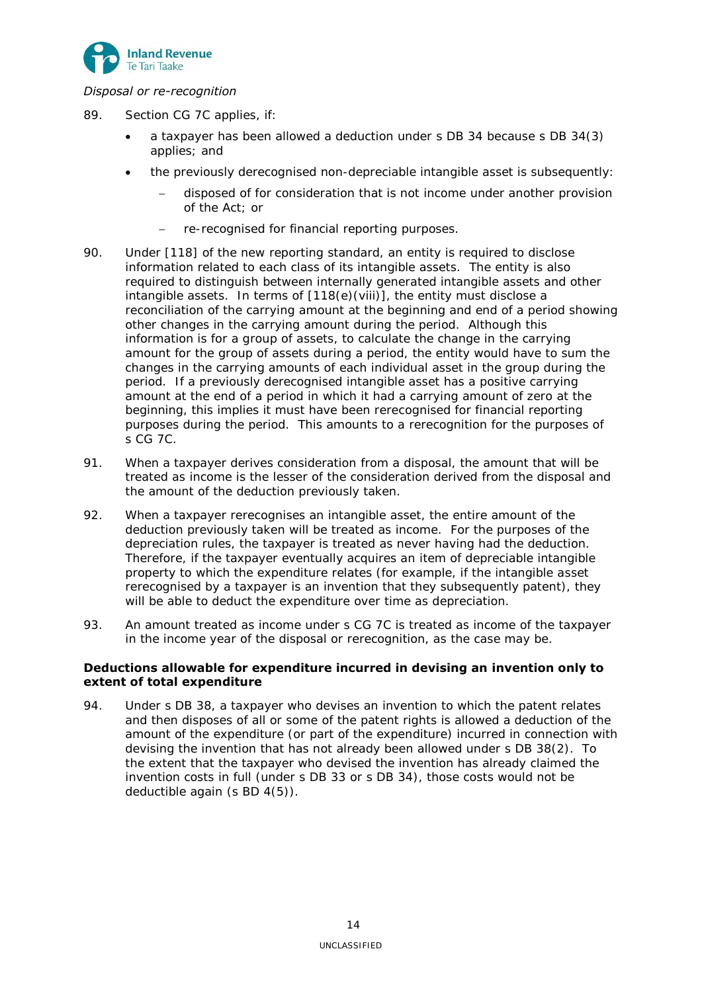

# *Disposal or re-recognition*

- 89. Section CG 7C applies, if:
	- a taxpayer has been allowed a deduction under s DB 34 because s DB 34(3) applies; and
	- the previously derecognised non-depreciable intangible asset is subsequently:
		- disposed of for consideration that is not income under another provision of the Act; or
		- re-recognised for financial reporting purposes.
- 90. Under [118] of the new reporting standard, an entity is required to disclose information related to each class of its intangible assets. The entity is also required to distinguish between internally generated intangible assets and other intangible assets. In terms of [118(e)(viii)], the entity must disclose a reconciliation of the carrying amount at the beginning and end of a period showing other changes in the carrying amount during the period. Although this information is for a group of assets, to calculate the change in the carrying amount for the group of assets during a period, the entity would have to sum the changes in the carrying amounts of each individual asset in the group during the period. If a previously derecognised intangible asset has a positive carrying amount at the end of a period in which it had a carrying amount of zero at the beginning, this implies it must have been rerecognised for financial reporting purposes during the period. This amounts to a rerecognition for the purposes of s CG 7C.
- 91. When a taxpayer derives consideration from a disposal, the amount that will be treated as income is the lesser of the consideration derived from the disposal and the amount of the deduction previously taken.
- 92. When a taxpayer rerecognises an intangible asset, the entire amount of the deduction previously taken will be treated as income. For the purposes of the depreciation rules, the taxpayer is treated as never having had the deduction. Therefore, if the taxpayer eventually acquires an item of depreciable intangible property to which the expenditure relates (for example, if the intangible asset rerecognised by a taxpayer is an invention that they subsequently patent), they will be able to deduct the expenditure over time as depreciation.
- <span id="page-13-1"></span>93. An amount treated as income under s CG 7C is treated as income of the taxpayer in the income year of the disposal or rerecognition, as the case may be.

## <span id="page-13-0"></span>**Deductions allowable for expenditure incurred in devising an invention only to extent of total expenditure**

94. Under s DB 38, a taxpayer who devises an invention to which the patent relates and then disposes of all or some of the patent rights is allowed a deduction of the amount of the expenditure (or part of the expenditure) incurred in connection with devising the invention that has not already been allowed under s DB 38(2). To the extent that the taxpayer who devised the invention has already claimed the invention costs in full (under s DB 33 or s DB 34), those costs would not be deductible again (s BD 4(5)).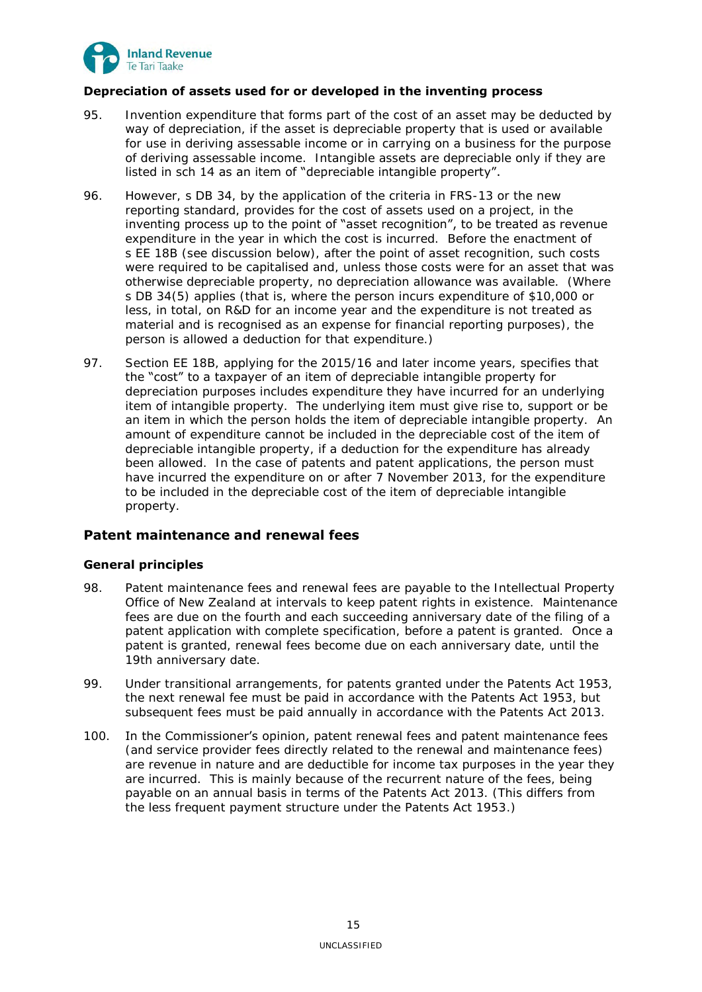

# <span id="page-14-0"></span>**Depreciation of assets used for or developed in the inventing process**

- 95. Invention expenditure that forms part of the cost of an asset may be deducted by way of depreciation, if the asset is depreciable property that is used or available for use in deriving assessable income or in carrying on a business for the purpose of deriving assessable income. Intangible assets are depreciable only if they are listed in sch 14 as an item of "depreciable intangible property".
- 96. However, s DB 34, by the application of the criteria in FRS-13 or the new reporting standard, provides for the cost of assets used on a project, in the inventing process up to the point of "asset recognition", to be treated as revenue expenditure in the year in which the cost is incurred. Before the enactment of s EE 18B (see discussion below), after the point of asset recognition, such costs were required to be capitalised and, unless those costs were for an asset that was otherwise depreciable property, no depreciation allowance was available. (Where s DB 34(5) applies (that is, where the person incurs expenditure of \$10,000 or less, in total, on R&D for an income year and the expenditure is not treated as material and is recognised as an expense for financial reporting purposes), the person is allowed a deduction for that expenditure.)
- <span id="page-14-3"></span>97. Section EE 18B, applying for the 2015/16 and later income years, specifies that the "cost" to a taxpayer of an item of depreciable intangible property for depreciation purposes includes expenditure they have incurred for an underlying item of intangible property. The underlying item must give rise to, support or be an item in which the person holds the item of depreciable intangible property. An amount of expenditure cannot be included in the depreciable cost of the item of depreciable intangible property, if a deduction for the expenditure has already been allowed. In the case of patents and patent applications, the person must have incurred the expenditure on or after 7 November 2013, for the expenditure to be included in the depreciable cost of the item of depreciable intangible property.

# <span id="page-14-1"></span>**Patent maintenance and renewal fees**

## <span id="page-14-2"></span>**General principles**

- <span id="page-14-4"></span>98. Patent maintenance fees and renewal fees are payable to the Intellectual Property Office of New Zealand at intervals to keep patent rights in existence. Maintenance fees are due on the fourth and each succeeding anniversary date of the filing of a patent application with complete specification, before a patent is granted. Once a patent is granted, renewal fees become due on each anniversary date, until the 19th anniversary date.
- 99. Under transitional arrangements, for patents granted under the Patents Act 1953, the next renewal fee must be paid in accordance with the Patents Act 1953, but subsequent fees must be paid annually in accordance with the Patents Act 2013.
- 100. In the Commissioner's opinion, patent renewal fees and patent maintenance fees (and service provider fees directly related to the renewal and maintenance fees) are revenue in nature and are deductible for income tax purposes in the year they are incurred. This is mainly because of the recurrent nature of the fees, being payable on an annual basis in terms of the Patents Act 2013. (This differs from the less frequent payment structure under the Patents Act 1953.)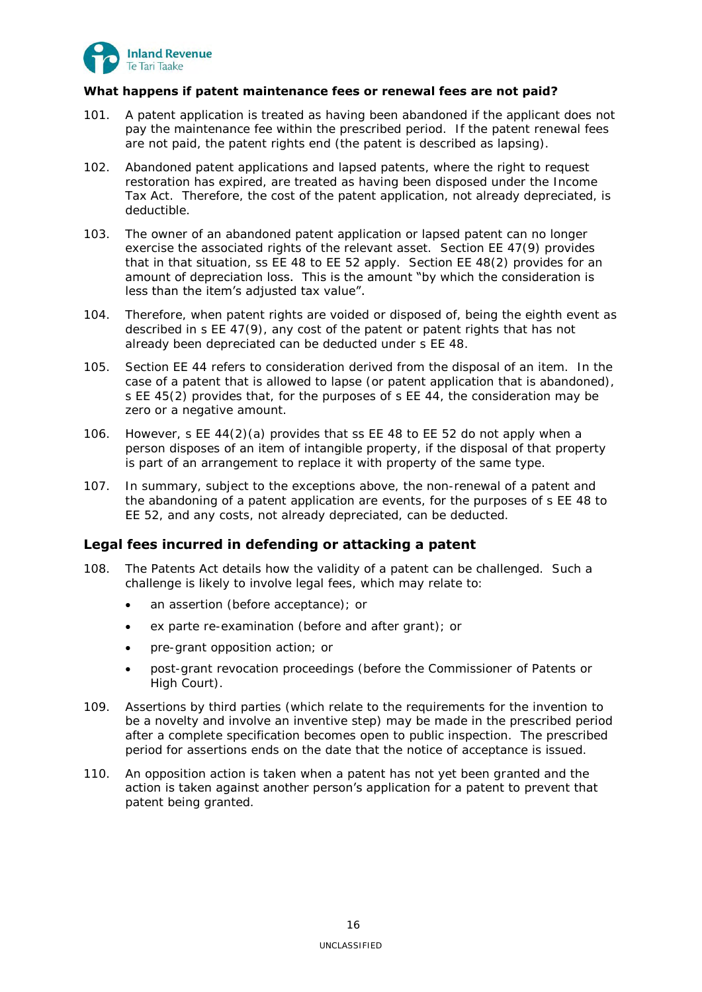

# <span id="page-15-0"></span>**What happens if patent maintenance fees or renewal fees are not paid?**

- 101. A patent application is treated as having been abandoned if the applicant does not pay the maintenance fee within the prescribed period. If the patent renewal fees are not paid, the patent rights end (the patent is described as lapsing).
- 102. Abandoned patent applications and lapsed patents, where the right to request restoration has expired, are treated as having been disposed under the Income Tax Act. Therefore, the cost of the patent application, not already depreciated, is deductible.
- 103. The owner of an abandoned patent application or lapsed patent can no longer exercise the associated rights of the relevant asset. Section EE 47(9) provides that in that situation, ss EE 48 to EE 52 apply. Section EE 48(2) provides for an amount of depreciation loss. This is the amount "by which the consideration is less than the item's adjusted tax value".
- 104. Therefore, when patent rights are voided or disposed of, being the eighth event as described in s EE 47(9), any cost of the patent or patent rights that has not already been depreciated can be deducted under s EE 48.
- 105. Section EE 44 refers to consideration derived from the disposal of an item. In the case of a patent that is allowed to lapse (or patent application that is abandoned), s EE 45(2) provides that, for the purposes of s EE 44, the consideration may be zero or a negative amount.
- 106. However, s EE 44(2)(a) provides that ss EE 48 to EE 52 do not apply when a person disposes of an item of intangible property, if the disposal of that property is part of an arrangement to replace it with property of the same type.
- <span id="page-15-2"></span>107. In summary, subject to the exceptions above, the non-renewal of a patent and the abandoning of a patent application are events, for the purposes of s EE 48 to EE 52, and any costs, not already depreciated, can be deducted.

# <span id="page-15-1"></span>**Legal fees incurred in defending or attacking a patent**

- <span id="page-15-3"></span>108. The Patents Act details how the validity of a patent can be challenged. Such a challenge is likely to involve legal fees, which may relate to:
	- an assertion (before acceptance); or
	- ex parte re-examination (before and after grant); or
	- pre-grant opposition action; or
	- post-grant revocation proceedings (before the Commissioner of Patents or High Court).
- 109. Assertions by third parties (which relate to the requirements for the invention to be a novelty and involve an inventive step) may be made in the prescribed period after a complete specification becomes open to public inspection. The prescribed period for assertions ends on the date that the notice of acceptance is issued.
- 110. An opposition action is taken when a patent has not yet been granted and the action is taken against another person's application for a patent to prevent that patent being granted.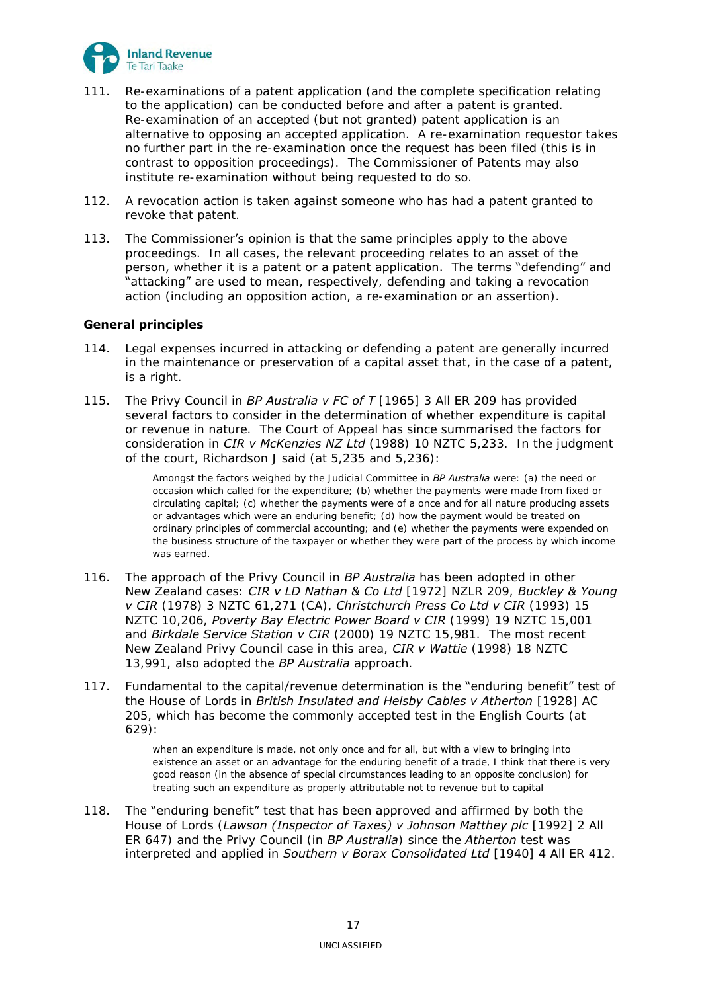

- 111. Re-examinations of a patent application (and the complete specification relating to the application) can be conducted before and after a patent is granted. Re-examination of an accepted (but not granted) patent application is an alternative to opposing an accepted application. A re-examination requestor takes no further part in the re-examination once the request has been filed (this is in contrast to opposition proceedings). The Commissioner of Patents may also institute re-examination without being requested to do so.
- 112. A revocation action is taken against someone who has had a patent granted to revoke that patent.
- 113. The Commissioner's opinion is that the same principles apply to the above proceedings. In all cases, the relevant proceeding relates to an asset of the person, whether it is a patent or a patent application. The terms "defending" and "attacking" are used to mean, respectively, defending and taking a revocation action (including an opposition action, a re-examination or an assertion).

# <span id="page-16-0"></span>**General principles**

- 114. Legal expenses incurred in attacking or defending a patent are generally incurred in the maintenance or preservation of a capital asset that, in the case of a patent, is a right.
- 115. The Privy Council in *BP Australia v FC of T* [1965] 3 All ER 209 has provided several factors to consider in the determination of whether expenditure is capital or revenue in nature. The Court of Appeal has since summarised the factors for consideration in *CIR v McKenzies NZ Ltd* (1988) 10 NZTC 5,233. In the judgment of the court, Richardson J said (at 5,235 and 5,236):

Amongst the factors weighed by the Judicial Committee in *BP Australia* were: (a) the need or occasion which called for the expenditure; (b) whether the payments were made from fixed or circulating capital; (c) whether the payments were of a once and for all nature producing assets or advantages which were an enduring benefit; (d) how the payment would be treated on ordinary principles of commercial accounting; and (e) whether the payments were expended on the business structure of the taxpayer or whether they were part of the process by which income was earned.

- 116. The approach of the Privy Council in *BP Australia* has been adopted in other New Zealand cases: *CIR v LD Nathan & Co Ltd* [1972] NZLR 209, *Buckley & Young v CIR* (1978) 3 NZTC 61,271 (CA), *Christchurch Press Co Ltd v CIR* (1993) 15 NZTC 10,206, *Poverty Bay Electric Power Board v CIR* (1999) 19 NZTC 15,001 and *Birkdale Service Station v CIR* (2000) 19 NZTC 15,981. The most recent New Zealand Privy Council case in this area, *CIR v Wattie* (1998) 18 NZTC 13,991, also adopted the *BP Australia* approach.
- 117. Fundamental to the capital/revenue determination is the "enduring benefit" test of the House of Lords in *British Insulated and Helsby Cables v Atherton* [1928] AC 205, which has become the commonly accepted test in the English Courts (at 629):

when an expenditure is made, not only once and for all, but with a view to bringing into existence an asset or an advantage for the enduring benefit of a trade, I think that there is very good reason (in the absence of special circumstances leading to an opposite conclusion) for treating such an expenditure as properly attributable not to revenue but to capital

118. The "enduring benefit" test that has been approved and affirmed by both the House of Lords (*Lawson (Inspector of Taxes) v Johnson Matthey plc* [1992] 2 All ER 647) and the Privy Council (in *BP Australia*) since the *Atherton* test was interpreted and applied in *Southern v Borax Consolidated Ltd* [1940] 4 All ER 412.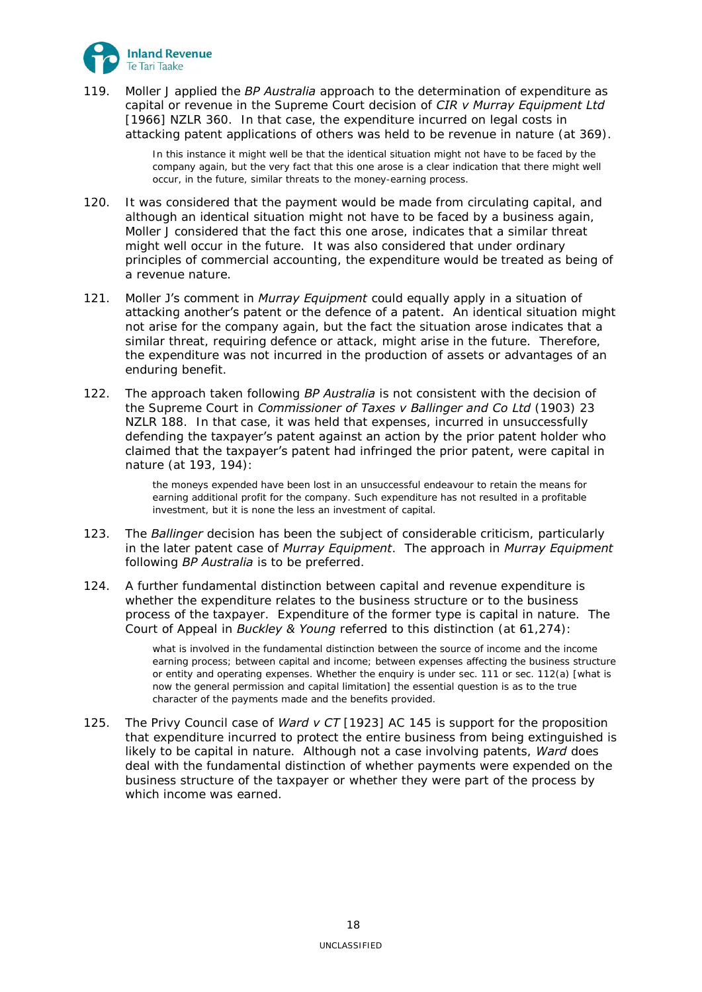

119. Moller J applied the *BP Australia* approach to the determination of expenditure as capital or revenue in the Supreme Court decision of *CIR v Murray Equipment Ltd*  [1966] NZLR 360. In that case, the expenditure incurred on legal costs in attacking patent applications of others was held to be revenue in nature (at 369).

> In this instance it might well be that the identical situation might not have to be faced by the company again, but the very fact that this one arose is a clear indication that there might well occur, in the future, similar threats to the money-earning process.

- 120. It was considered that the payment would be made from circulating capital, and although an identical situation might not have to be faced by a business again, Moller J considered that the fact this one arose, indicates that a similar threat might well occur in the future. It was also considered that under ordinary principles of commercial accounting, the expenditure would be treated as being of a revenue nature.
- 121. Moller J's comment in *Murray Equipment* could equally apply in a situation of attacking another's patent or the defence of a patent. An identical situation might not arise for the company again, but the fact the situation arose indicates that a similar threat, requiring defence or attack, might arise in the future. Therefore, the expenditure was not incurred in the production of assets or advantages of an enduring benefit.
- 122. The approach taken following *BP Australia* is not consistent with the decision of the Supreme Court in *Commissioner of Taxes v Ballinger and Co Ltd* (1903) 23 NZLR 188. In that case, it was held that expenses, incurred in unsuccessfully defending the taxpayer's patent against an action by the prior patent holder who claimed that the taxpayer's patent had infringed the prior patent, were capital in nature (at 193, 194):

the moneys expended have been lost in an unsuccessful endeavour to retain the means for earning additional profit for the company. Such expenditure has not resulted in a profitable investment, but it is none the less an investment of capital.

- 123. The *Ballinger* decision has been the subject of considerable criticism, particularly in the later patent case of *Murray Equipment*. The approach in *Murray Equipment* following *BP Australia* is to be preferred.
- <span id="page-17-0"></span>124. A further fundamental distinction between capital and revenue expenditure is whether the expenditure relates to the business structure or to the business process of the taxpayer. Expenditure of the former type is capital in nature. The Court of Appeal in *Buckley & Young* referred to this distinction (at 61,274):

what is involved in the fundamental distinction between the source of income and the income earning process; between capital and income; between expenses affecting the business structure or entity and operating expenses. Whether the enquiry is under sec. 111 or sec. 112(a) [what is now the general permission and capital limitation] the essential question is as to the true character of the payments made and the benefits provided.

<span id="page-17-1"></span>125. The Privy Council case of *Ward v CT* [1923] AC 145 is support for the proposition that expenditure incurred to protect the entire business from being extinguished is likely to be capital in nature. Although not a case involving patents, *Ward* does deal with the fundamental distinction of whether payments were expended on the business structure of the taxpayer or whether they were part of the process by which income was earned.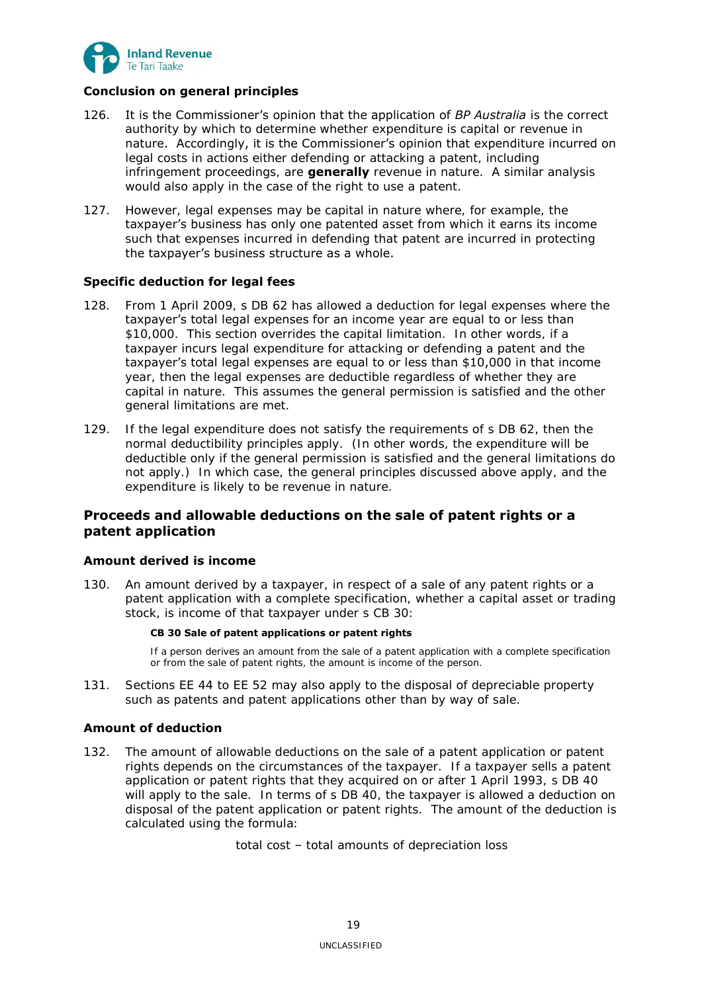

# <span id="page-18-0"></span>**Conclusion on general principles**

- 126. It is the Commissioner's opinion that the application of *BP Australia* is the correct authority by which to determine whether expenditure is capital or revenue in nature. Accordingly, it is the Commissioner's opinion that expenditure incurred on legal costs in actions either defending or attacking a patent, including infringement proceedings, are **generally** revenue in nature. A similar analysis would also apply in the case of the right to use a patent.
- 127. However, legal expenses may be capital in nature where, for example, the taxpayer's business has only one patented asset from which it earns its income such that expenses incurred in defending that patent are incurred in protecting the taxpayer's business structure as a whole.

## <span id="page-18-1"></span>**Specific deduction for legal fees**

- 128. From 1 April 2009, s DB 62 has allowed a deduction for legal expenses where the taxpayer's total legal expenses for an income year are equal to or less than \$10,000. This section overrides the capital limitation. In other words, if a taxpayer incurs legal expenditure for attacking or defending a patent and the taxpayer's total legal expenses are equal to or less than \$10,000 in that income year, then the legal expenses are deductible regardless of whether they are capital in nature. This assumes the general permission is satisfied and the other general limitations are met.
- <span id="page-18-5"></span>129. If the legal expenditure does not satisfy the requirements of s DB 62, then the normal deductibility principles apply. (In other words, the expenditure will be deductible only if the general permission is satisfied and the general limitations do not apply.) In which case, the general principles discussed above apply, and the expenditure is likely to be revenue in nature.

# <span id="page-18-2"></span>**Proceeds and allowable deductions on the sale of patent rights or a patent application**

## <span id="page-18-3"></span>**Amount derived is income**

<span id="page-18-6"></span>130. An amount derived by a taxpayer, in respect of a sale of any patent rights or a patent application with a complete specification, whether a capital asset or trading stock, is income of that taxpayer under s CB 30:

## **CB 30 Sale of patent applications or patent rights**

If a person derives an amount from the sale of a patent application with a complete specification or from the sale of patent rights, the amount is income of the person.

131. Sections EE 44 to EE 52 may also apply to the disposal of depreciable property such as patents and patent applications other than by way of sale.

# <span id="page-18-4"></span>**Amount of deduction**

132. The amount of allowable deductions on the sale of a patent application or patent rights depends on the circumstances of the taxpayer. If a taxpayer sells a patent application or patent rights that they acquired on or after 1 April 1993, s DB 40 will apply to the sale. In terms of s DB 40, the taxpayer is allowed a deduction on disposal of the patent application or patent rights. The amount of the deduction is calculated using the formula:

total cost – total amounts of depreciation loss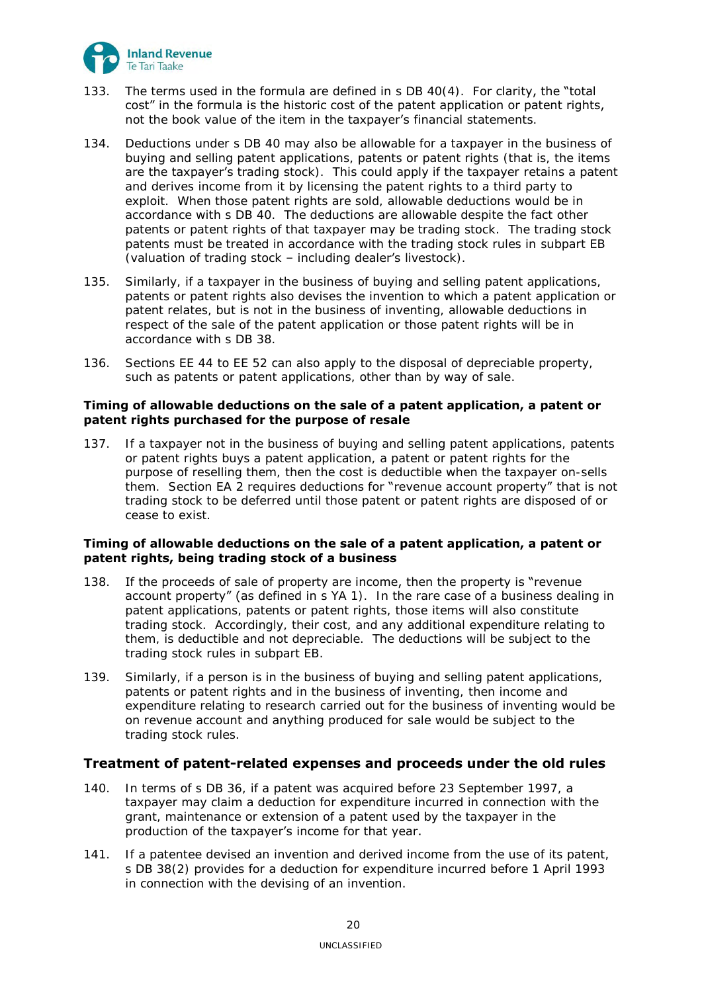

- 133. The terms used in the formula are defined in s DB 40(4). For clarity, the "total cost" in the formula is the historic cost of the patent application or patent rights, not the book value of the item in the taxpayer's financial statements.
- 134. Deductions under s DB 40 may also be allowable for a taxpayer in the business of buying and selling patent applications, patents or patent rights (that is, the items are the taxpayer's trading stock). This could apply if the taxpayer retains a patent and derives income from it by licensing the patent rights to a third party to exploit. When those patent rights are sold, allowable deductions would be in accordance with s DB 40. The deductions are allowable despite the fact other patents or patent rights of that taxpayer may be trading stock. The trading stock patents must be treated in accordance with the trading stock rules in subpart EB (valuation of trading stock – including dealer's livestock).
- 135. Similarly, if a taxpayer in the business of buying and selling patent applications, patents or patent rights also devises the invention to which a patent application or patent relates, but is not in the business of inventing, allowable deductions in respect of the sale of the patent application or those patent rights will be in accordance with s DB 38.
- 136. Sections EE 44 to EE 52 can also apply to the disposal of depreciable property, such as patents or patent applications, other than by way of sale.

## <span id="page-19-0"></span>**Timing of allowable deductions on the sale of a patent application, a patent or patent rights purchased for the purpose of resale**

137. If a taxpayer not in the business of buying and selling patent applications, patents or patent rights buys a patent application, a patent or patent rights for the purpose of reselling them, then the cost is deductible when the taxpayer on-sells them. Section EA 2 requires deductions for "revenue account property" that is not trading stock to be deferred until those patent or patent rights are disposed of or cease to exist.

# <span id="page-19-1"></span>**Timing of allowable deductions on the sale of a patent application, a patent or patent rights, being trading stock of a business**

- 138. If the proceeds of sale of property are income, then the property is "revenue account property" (as defined in s YA 1). In the rare case of a business dealing in patent applications, patents or patent rights, those items will also constitute trading stock. Accordingly, their cost, and any additional expenditure relating to them, is deductible and not depreciable. The deductions will be subject to the trading stock rules in subpart EB.
- <span id="page-19-3"></span>139. Similarly, if a person is in the business of buying and selling patent applications, patents or patent rights and in the business of inventing, then income and expenditure relating to research carried out for the business of inventing would be on revenue account and anything produced for sale would be subject to the trading stock rules.

# <span id="page-19-2"></span>**Treatment of patent-related expenses and proceeds under the old rules**

- <span id="page-19-4"></span>140. In terms of s DB 36, if a patent was acquired before 23 September 1997, a taxpayer may claim a deduction for expenditure incurred in connection with the grant, maintenance or extension of a patent used by the taxpayer in the production of the taxpayer's income for that year.
- <span id="page-19-5"></span>141. If a patentee devised an invention and derived income from the use of its patent, s DB 38(2) provides for a deduction for expenditure incurred before 1 April 1993 in connection with the devising of an invention.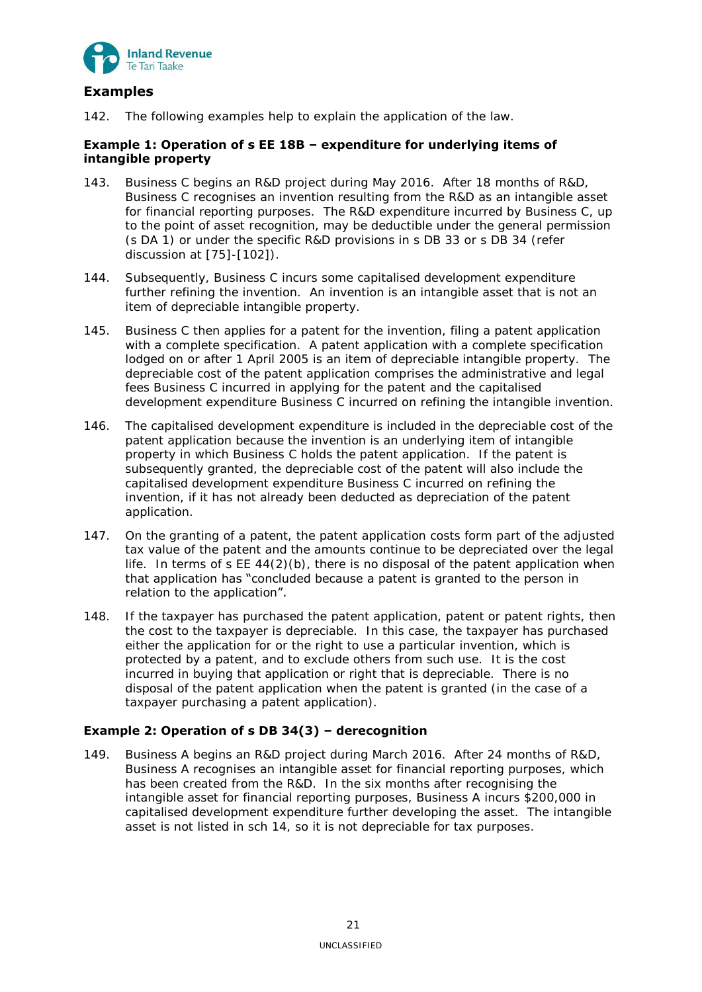

# <span id="page-20-0"></span>**Examples**

142. The following examples help to explain the application of the law.

# <span id="page-20-1"></span>**Example 1: Operation of s EE 18B – expenditure for underlying items of intangible property**

- 143. Business C begins an R&D project during May 2016. After 18 months of R&D, Business C recognises an invention resulting from the R&D as an intangible asset for financial reporting purposes. The R&D expenditure incurred by Business C, up to the point of asset recognition, may be deductible under the general permission (s DA 1) or under the specific R&D provisions in s DB 33 or s DB 34 (refer discussion at [75]-[102]).
- 144. Subsequently, Business C incurs some capitalised development expenditure further refining the invention. An invention is an intangible asset that is not an item of depreciable intangible property.
- 145. Business C then applies for a patent for the invention, filing a patent application with a complete specification. A patent application with a complete specification lodged on or after 1 April 2005 is an item of depreciable intangible property. The depreciable cost of the patent application comprises the administrative and legal fees Business C incurred in applying for the patent and the capitalised development expenditure Business C incurred on refining the intangible invention.
- 146. The capitalised development expenditure is included in the depreciable cost of the patent application because the invention is an underlying item of intangible property in which Business C holds the patent application. If the patent is subsequently granted, the depreciable cost of the patent will also include the capitalised development expenditure Business C incurred on refining the invention, if it has not already been deducted as depreciation of the patent application.
- 147. On the granting of a patent, the patent application costs form part of the adjusted tax value of the patent and the amounts continue to be depreciated over the legal life. In terms of s EE 44(2)(b), there is no disposal of the patent application when that application has "concluded because a patent is granted to the person in relation to the application".
- 148. If the taxpayer has purchased the patent application, patent or patent rights, then the cost to the taxpayer is depreciable. In this case, the taxpayer has purchased either the application for or the right to use a particular invention, which is protected by a patent, and to exclude others from such use. It is the cost incurred in buying that application or right that is depreciable. There is no disposal of the patent application when the patent is granted (in the case of a taxpayer purchasing a patent application).

# <span id="page-20-2"></span>**Example 2: Operation of s DB 34(3) – derecognition**

149. Business A begins an R&D project during March 2016. After 24 months of R&D, Business A recognises an intangible asset for financial reporting purposes, which has been created from the R&D. In the six months after recognising the intangible asset for financial reporting purposes, Business A incurs \$200,000 in capitalised development expenditure further developing the asset. The intangible asset is not listed in sch 14, so it is not depreciable for tax purposes.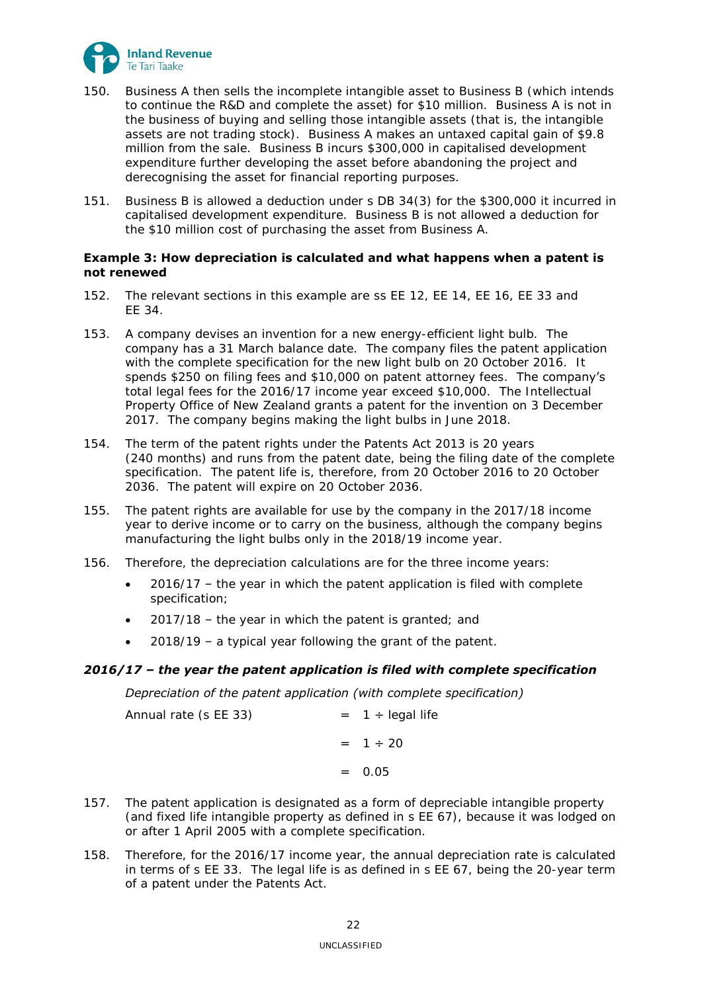

- 150. Business A then sells the incomplete intangible asset to Business B (which intends to continue the R&D and complete the asset) for \$10 million. Business A is not in the business of buying and selling those intangible assets (that is, the intangible assets are not trading stock). Business A makes an untaxed capital gain of \$9.8 million from the sale. Business B incurs \$300,000 in capitalised development expenditure further developing the asset before abandoning the project and derecognising the asset for financial reporting purposes.
- 151. Business B is allowed a deduction under s DB 34(3) for the \$300,000 it incurred in capitalised development expenditure. Business B is not allowed a deduction for the \$10 million cost of purchasing the asset from Business A.

# <span id="page-21-0"></span>**Example 3: How depreciation is calculated and what happens when a patent is not renewed**

- 152. The relevant sections in this example are ss EE 12, EE 14, EE 16, EE 33 and EE 34.
- 153. A company devises an invention for a new energy-efficient light bulb. The company has a 31 March balance date. The company files the patent application with the complete specification for the new light bulb on 20 October 2016. It spends \$250 on filing fees and \$10,000 on patent attorney fees. The company's total legal fees for the 2016/17 income year exceed \$10,000. The Intellectual Property Office of New Zealand grants a patent for the invention on 3 December 2017. The company begins making the light bulbs in June 2018.
- 154. The term of the patent rights under the Patents Act 2013 is 20 years (240 months) and runs from the patent date, being the filing date of the complete specification. The patent life is, therefore, from 20 October 2016 to 20 October 2036. The patent will expire on 20 October 2036.
- 155. The patent rights are available for use by the company in the 2017/18 income year to derive income or to carry on the business, although the company begins manufacturing the light bulbs only in the 2018/19 income year.
- 156. Therefore, the depreciation calculations are for the three income years:
	- 2016/17 the year in which the patent application is filed with complete specification;
	- 2017/18 the year in which the patent is granted; and
	- 2018/19 a typical year following the grant of the patent.

# *2016/17 – the year the patent application is filed with complete specification*

## *Depreciation of the patent application (with complete specification)*

| Annual rate (s EE 33) | $= 1 \div \text{legal life}$ |
|-----------------------|------------------------------|
|                       | $= 1 \div 20$                |
|                       | $= 0.05$                     |

- 157. The patent application is designated as a form of depreciable intangible property (and fixed life intangible property as defined in s EE 67), because it was lodged on or after 1 April 2005 with a complete specification.
- 158. Therefore, for the 2016/17 income year, the annual depreciation rate is calculated in terms of s EE 33. The legal life is as defined in s EE 67, being the 20-year term of a patent under the Patents Act.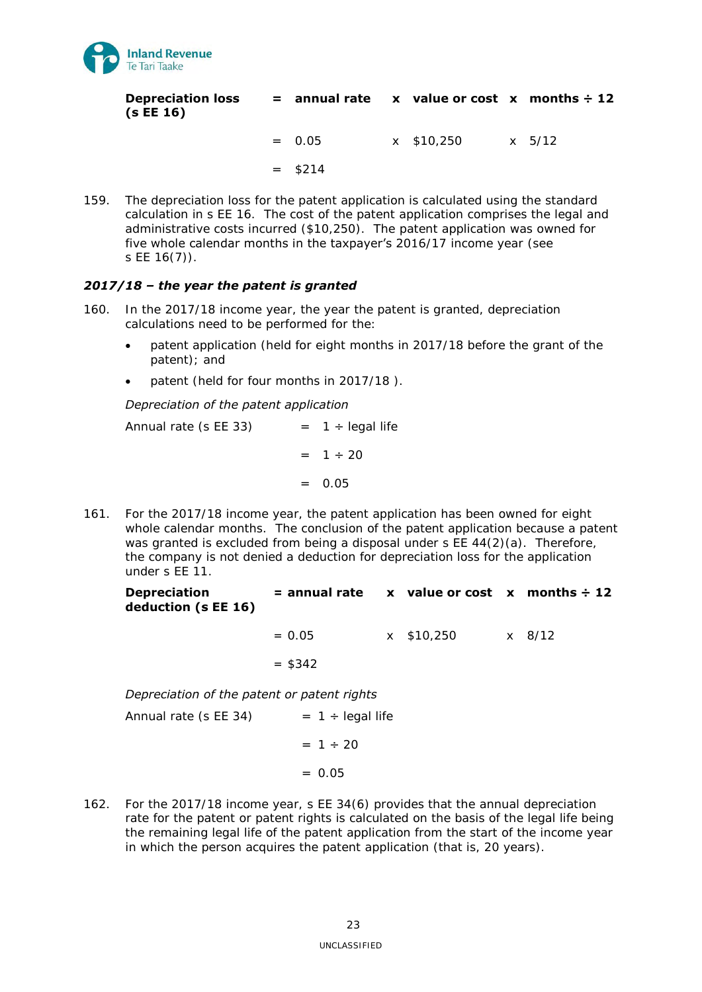

| <b>Depreciation loss</b> | $=$ annual rate x value or cost x months $\div$ 12 |  |  |
|--------------------------|----------------------------------------------------|--|--|
| (s EE 16)                |                                                    |  |  |

 $= 0.05$  x \$10,250 x 5/12

 $=$  \$214

159. The depreciation loss for the patent application is calculated using the standard calculation in s EE 16. The cost of the patent application comprises the legal and administrative costs incurred (\$10,250). The patent application was owned for five whole calendar months in the taxpayer's 2016/17 income year (see s EE 16(7)).

# *2017/18 – the year the patent is granted*

- 160. In the 2017/18 income year, the year the patent is granted, depreciation calculations need to be performed for the:
	- patent application (held for eight months in 2017/18 before the grant of the patent); and
	- patent (held for four months in 2017/18 ).

# *Depreciation of the patent application*

Annual rate (s EE 33)  $= 1 \div \text{legal life}$  $= 1 \div 20$  $= 0.05$ 

161. For the 2017/18 income year, the patent application has been owned for eight whole calendar months. The conclusion of the patent application because a patent was granted is excluded from being a disposal under s EE 44(2)(a). Therefore, the company is not denied a deduction for depreciation loss for the application under s EE 11.

**Depreciation deduction (s EE 16) = annual rate x value or cost x months ÷ 12**

> $= 0.05$  x \$10,250 x 8/12  $= $342$

*Depreciation of the patent or patent rights* 

Annual rate (s  $EE$  34)  $= 1 \div \text{legal life}$  $= 1 \div 20$  $= 0.05$ 

162. For the 2017/18 income year, s EE 34(6) provides that the annual depreciation rate for the patent or patent rights is calculated on the basis of the legal life being the remaining legal life of the patent application from the start of the income year in which the person acquires the patent application (that is, 20 years).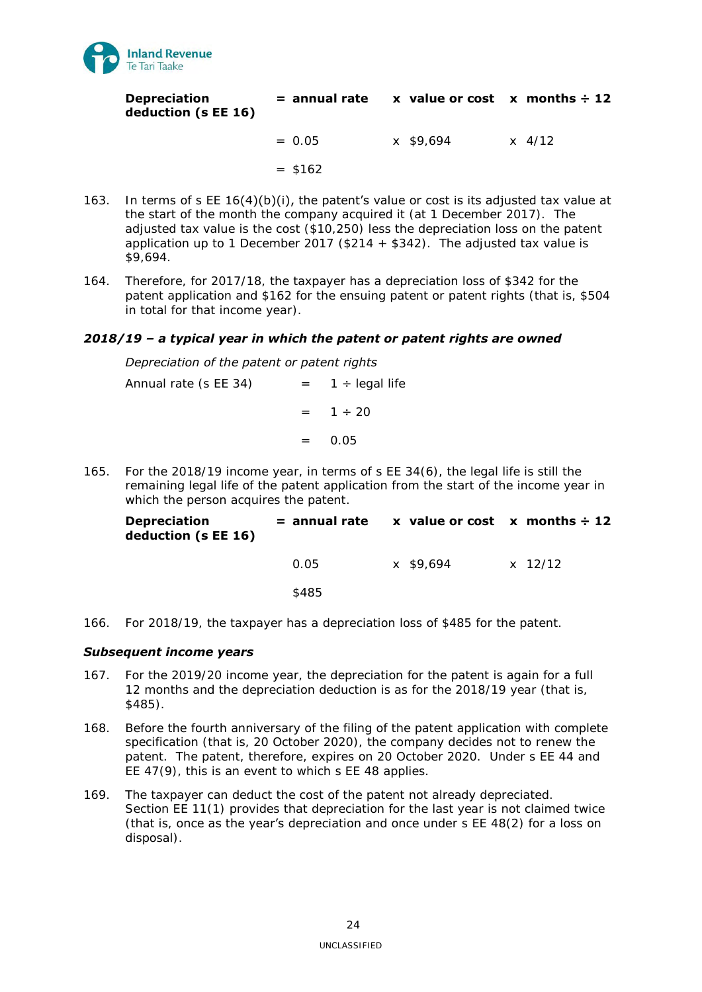

| <b>Depreciation</b> | $=$ annual rate $\quad x$ value or cost $\quad x$ months $\div$ 12 |  |
|---------------------|--------------------------------------------------------------------|--|
| deduction (s EE 16) |                                                                    |  |

 $= 0.05$  x \$9.694 x 4/12

 $= $162$ 

- 163. In terms of s EE 16(4)(b)(i), the patent's value or cost is its adjusted tax value at the start of the month the company acquired it (at 1 December 2017). The adjusted tax value is the cost (\$10,250) less the depreciation loss on the patent application up to 1 December 2017 (\$214  $+$  \$342). The adjusted tax value is \$9,694.
- 164. Therefore, for 2017/18, the taxpayer has a depreciation loss of \$342 for the patent application and \$162 for the ensuing patent or patent rights (that is, \$504 in total for that income year).

# *2018/19 – a typical year in which the patent or patent rights are owned*

## *Depreciation of the patent or patent rights*

Annual rate (s EE 34)  $= 1 \div \text{legal life}$  $= 1 \div 20$  $=$  0.05

165. For the 2018/19 income year, in terms of s EE 34(6), the legal life is still the remaining legal life of the patent application from the start of the income year in which the person acquires the patent.

| <b>Depreciation</b><br>deduction (s EE 16) |       | $=$ annual rate x value or cost x months $\div$ 12 |         |
|--------------------------------------------|-------|----------------------------------------------------|---------|
|                                            | O 05  | x \$9.694                                          | x 12/12 |
|                                            | \$485 |                                                    |         |

166. For 2018/19, the taxpayer has a depreciation loss of \$485 for the patent.

# *Subsequent income years*

- 167. For the 2019/20 income year, the depreciation for the patent is again for a full 12 months and the depreciation deduction is as for the 2018/19 year (that is, \$485).
- 168. Before the fourth anniversary of the filing of the patent application with complete specification (that is, 20 October 2020), the company decides not to renew the patent. The patent, therefore, expires on 20 October 2020. Under s EE 44 and EE 47(9), this is an event to which s EE 48 applies.
- 169. The taxpayer can deduct the cost of the patent not already depreciated. Section EE 11(1) provides that depreciation for the last year is not claimed twice (that is, once as the year's depreciation and once under  $s \nE 48(2)$  for a loss on disposal).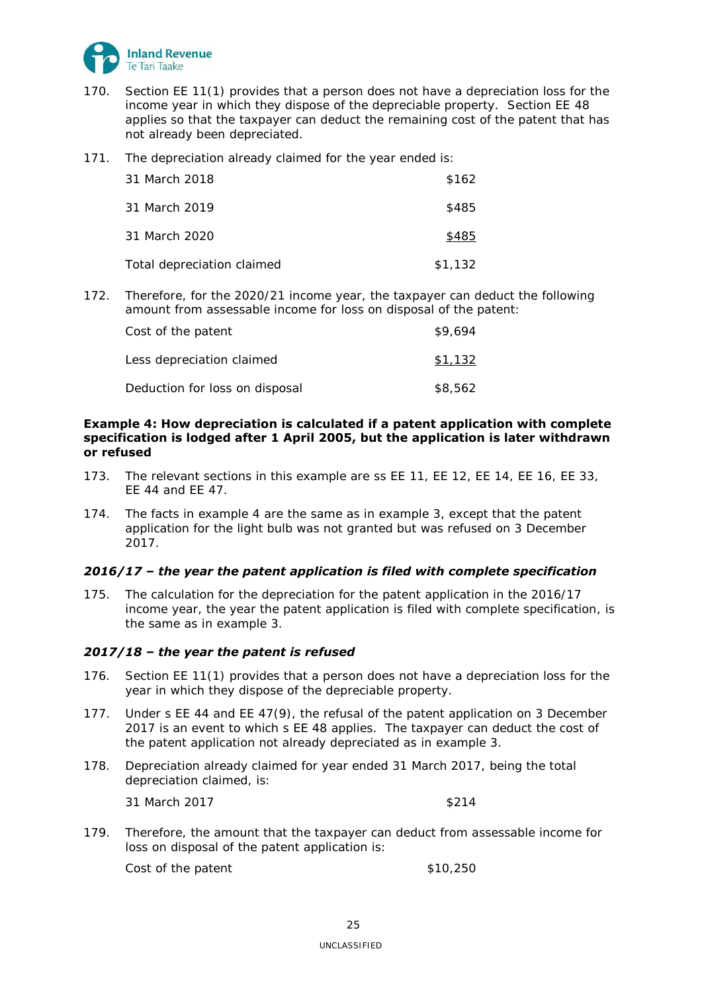

- 170. Section EE 11(1) provides that a person does not have a depreciation loss for the income year in which they dispose of the depreciable property. Section EE 48 applies so that the taxpayer can deduct the remaining cost of the patent that has not already been depreciated.
- 171. The depreciation already claimed for the year ended is:

| 31 March 2018              | \$162   |
|----------------------------|---------|
| 31 March 2019              | \$485   |
| 31 March 2020              | \$485   |
| Total depreciation claimed | \$1,132 |

172. Therefore, for the 2020/21 income year, the taxpayer can deduct the following amount from assessable income for loss on disposal of the patent:

| Cost of the patent             | \$9,694 |
|--------------------------------|---------|
| Less depreciation claimed      | \$1.132 |
| Deduction for loss on disposal | \$8,562 |

# <span id="page-24-0"></span>**Example 4: How depreciation is calculated if a patent application with complete specification is lodged after 1 April 2005, but the application is later withdrawn or refused**

- 173. The relevant sections in this example are ss EE 11, EE 12, EE 14, EE 16, EE 33, EE 44 and EE 47.
- 174. The facts in example 4 are the same as in example 3, except that the patent application for the light bulb was not granted but was refused on 3 December 2017.

# *2016/17 – the year the patent application is filed with complete specification*

175. The calculation for the depreciation for the patent application in the 2016/17 income year, the year the patent application is filed with complete specification, is the same as in example 3.

# *2017/18 – the year the patent is refused*

- 176. Section EE 11(1) provides that a person does not have a depreciation loss for the year in which they dispose of the depreciable property.
- 177. Under s EE 44 and EE 47(9), the refusal of the patent application on 3 December 2017 is an event to which s EE 48 applies. The taxpayer can deduct the cost of the patent application not already depreciated as in example 3.
- 178. Depreciation already claimed for year ended 31 March 2017, being the total depreciation claimed, is:

31 March 2017 **\$214** 

179. Therefore, the amount that the taxpayer can deduct from assessable income for loss on disposal of the patent application is:

 $Cost of the patent$   $$10,250$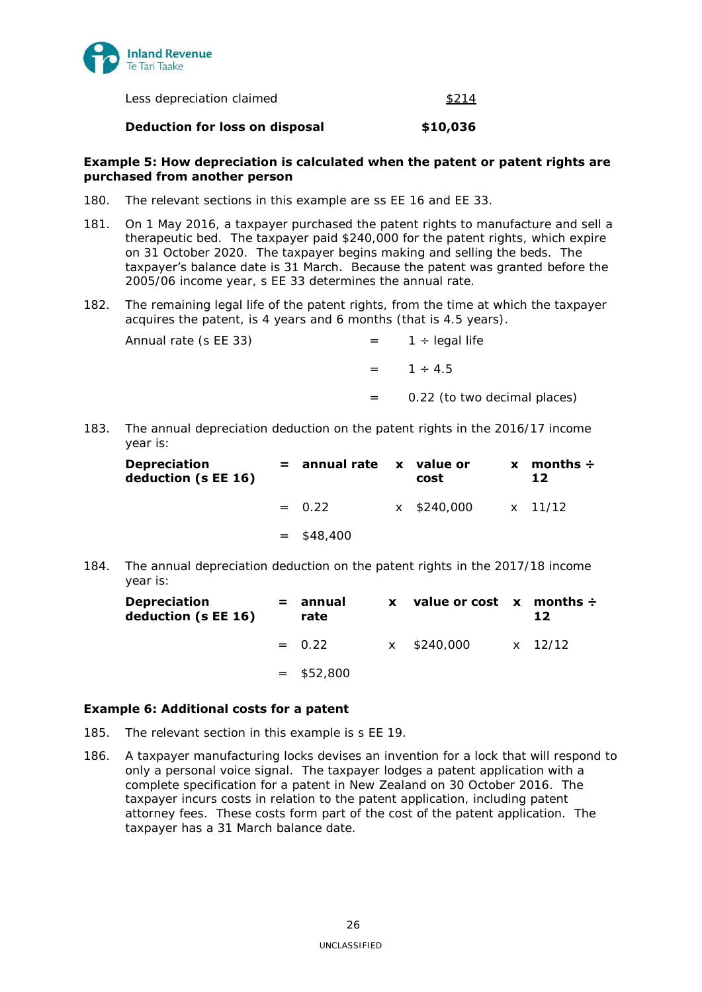

Less depreciation claimed  $$214$ 

## **Deduction for loss on disposal**  $$10,036$

## <span id="page-25-0"></span>**Example 5: How depreciation is calculated when the patent or patent rights are purchased from another person**

- 180. The relevant sections in this example are ss EE 16 and EE 33.
- 181. On 1 May 2016, a taxpayer purchased the patent rights to manufacture and sell a therapeutic bed. The taxpayer paid \$240,000 for the patent rights, which expire on 31 October 2020. The taxpayer begins making and selling the beds. The taxpayer's balance date is 31 March. Because the patent was granted before the 2005/06 income year, s EE 33 determines the annual rate.
- 182. The remaining legal life of the patent rights, from the time at which the taxpayer acquires the patent, is 4 years and 6 months (that is 4.5 years).

| Annual rate (s EE 33) |         | $= 1 \div \text{lead life}$  |
|-----------------------|---------|------------------------------|
|                       |         | $= 1 \div 4.5$               |
|                       | $=$ $-$ | 0.22 (to two decimal places) |

183. The annual depreciation deduction on the patent rights in the 2016/17 income year is:

| <b>Depreciation</b><br>deduction (s EE 16) | $=$ annual rate $\boldsymbol{\mathsf{x}}$ value or | cost                | $x$ months $\div$<br>12 |
|--------------------------------------------|----------------------------------------------------|---------------------|-------------------------|
|                                            | $= 0.22$                                           | x \$240,000 x 11/12 |                         |
|                                            | $=$ \$48,400                                       |                     |                         |

184. The annual depreciation deduction on the patent rights in the 2017/18 income year is:

| <b>Depreciation</b><br>deduction (s EE 16) | = annual<br>rate | $\mathbf{x}$ . | value or cost $x$ months $\div$ | 12 |
|--------------------------------------------|------------------|----------------|---------------------------------|----|
|                                            | $= 0.22$         |                | x \$240,000 x 12/12             |    |
|                                            | $=$ \$52,800     |                |                                 |    |

## <span id="page-25-1"></span>**Example 6: Additional costs for a patent**

- 185. The relevant section in this example is s EE 19.
- 186. A taxpayer manufacturing locks devises an invention for a lock that will respond to only a personal voice signal. The taxpayer lodges a patent application with a complete specification for a patent in New Zealand on 30 October 2016. The taxpayer incurs costs in relation to the patent application, including patent attorney fees. These costs form part of the cost of the patent application. The taxpayer has a 31 March balance date.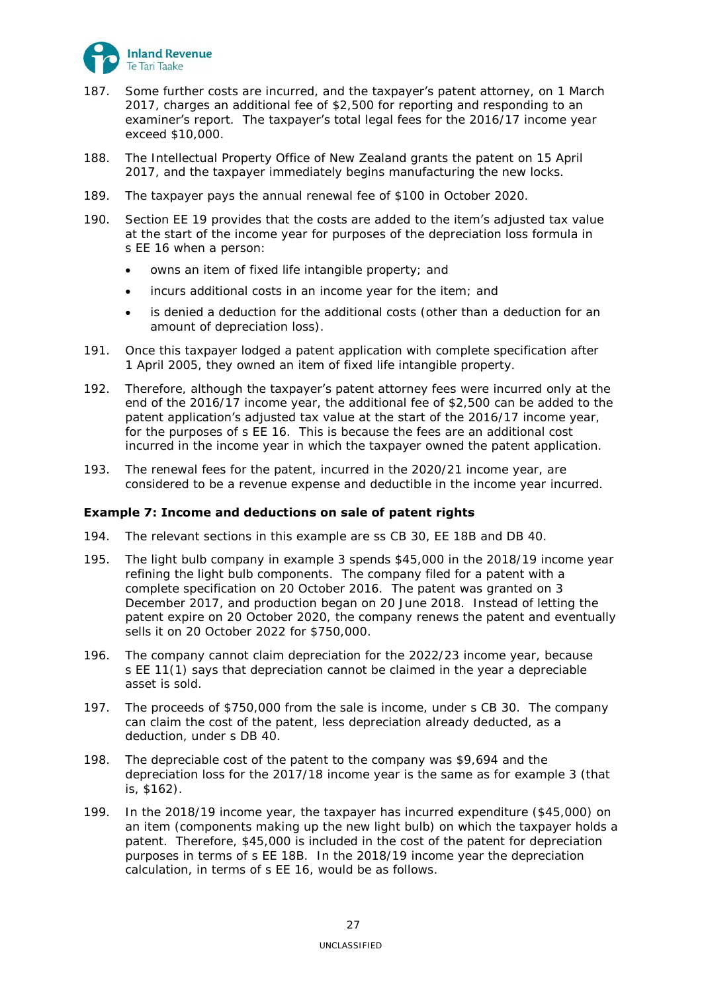

- 187. Some further costs are incurred, and the **taxpayer's patent attorney**, on 1 March 2017, charges an additional fee of \$2,500 for reporting and responding to an examiner's report. The taxpayer's total legal fees for the 2016/17 income year exceed \$10,000.
- 188. The Intellectual Property Office of New Zealand grants the patent on 15 April 2017, and the taxpayer immediately begins manufacturing the new locks.
- 189. The taxpayer pays the annual renewal fee of \$100 in October 2020.
- 190. Section EE 19 provides that the costs are added to the item's adjusted tax value at the start of the income year for purposes of the depreciation loss formula in s EE 16 when a person:
	- owns an item of fixed life intangible property; and
	- incurs additional costs in an income year for the item; and
	- is denied a deduction for the additional costs (other than a deduction for an amount of depreciation loss).
- 191. Once this taxpayer lodged a patent application with complete specification after 1 April 2005, they owned an item of fixed life intangible property.
- 192. Therefore, although the taxpayer's patent attorney fees were incurred only at the end of the 2016/17 income year, the additional fee of \$2,500 can be added to the patent application's adjusted tax value at the start of the 2016/17 income year, for the purposes of s EE 16. This is because the fees are an additional cost incurred in the income year in which the taxpayer owned the patent application.
- 193. The renewal fees for the patent, incurred in the 2020/21 income year, are considered to be a revenue expense and deductible in the income year incurred.

## <span id="page-26-0"></span>**Example 7: Income and deductions on sale of patent rights**

- 194. The relevant sections in this example are ss CB 30, EE 18B and DB 40.
- 195. The light bulb company in example 3 spends \$45,000 in the 2018/19 income year refining the light bulb components. The company filed for a patent with a complete specification on 20 October 2016. The patent was granted on 3 December 2017, and production began on 20 June 2018. Instead of letting the patent expire on 20 October 2020, the company renews the patent and eventually sells it on 20 October 2022 for \$750,000.
- 196. The company cannot claim depreciation for the 2022/23 income year, because s EE 11(1) says that depreciation cannot be claimed in the year a depreciable asset is sold.
- 197. The proceeds of \$750,000 from the sale is income, under s CB 30. The company can claim the cost of the patent, less depreciation already deducted, as a deduction, under s DB 40.
- 198. The depreciable cost of the patent to the company was \$9,694 and the depreciation loss for the 2017/18 income year is the same as for example 3 (that is, \$162).
- 199. In the 2018/19 income year, the taxpayer has incurred expenditure (\$45,000) on an item (components making up the new light bulb) on which the taxpayer holds a patent. Therefore, \$45,000 is included in the cost of the patent for depreciation purposes in terms of s EE 18B. In the 2018/19 income year the depreciation calculation, in terms of s EE 16, would be as follows.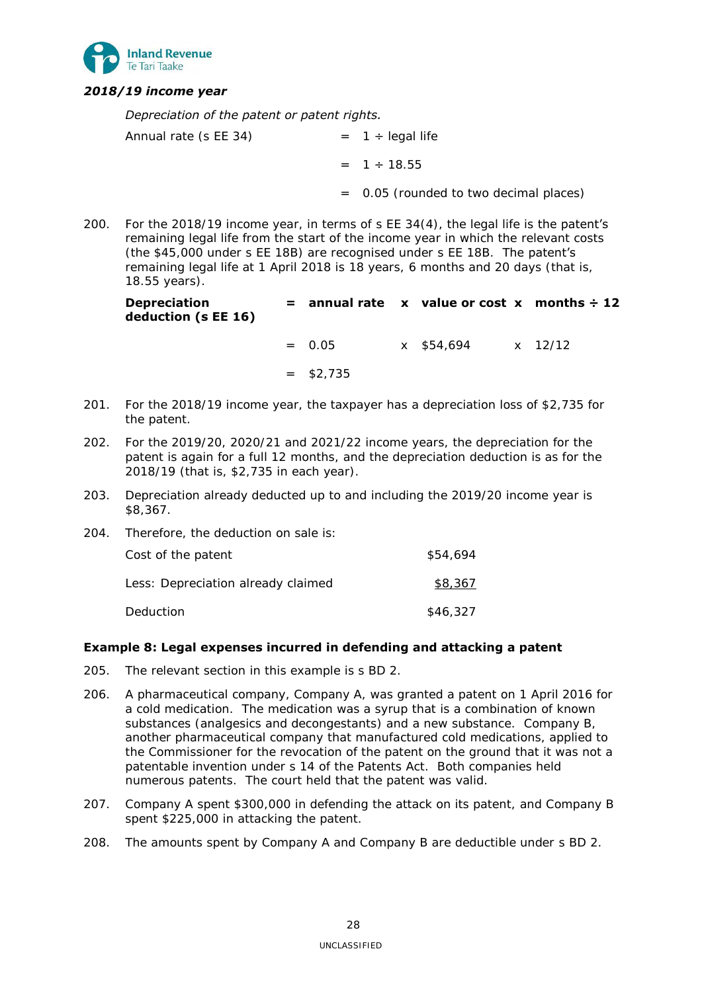

# *2018/19 income year*

*Depreciation of the patent or patent rights.* 

| Annual rate (s EE 34) | $= 1 \div$ legal life                    |
|-----------------------|------------------------------------------|
|                       | $= 1 \div 18.55$                         |
|                       | $=$ 0.05 (rounded to two decimal places) |

200. For the 2018/19 income year, in terms of s EE 34(4), the legal life is the patent's remaining legal life from the start of the income year in which the relevant costs (the \$45,000 under s EE 18B) are recognised under s EE 18B. The patent's remaining legal life at 1 April 2018 is 18 years, 6 months and 20 days (that is, 18.55 years).

| <b>Depreciation</b> |  | $=$ annual rate x value or cost x months $\div$ 12 |  |
|---------------------|--|----------------------------------------------------|--|
| deduction (s EE 16) |  |                                                    |  |
|                     |  |                                                    |  |

 $= 0.05$  x \$54,694 x 12/12  $=$  \$2.735

- 201. For the 2018/19 income year, the taxpayer has a depreciation loss of \$2,735 for the patent.
- 202. For the 2019/20, 2020/21 and 2021/22 income years, the depreciation for the patent is again for a full 12 months, and the depreciation deduction is as for the 2018/19 (that is, \$2,735 in each year).
- 203. Depreciation already deducted up to and including the 2019/20 income year is \$8,367.

| 204. | Therefore, the deduction on sale is: |          |
|------|--------------------------------------|----------|
|      | Cost of the patent                   | \$54,694 |
|      | Less: Depreciation already claimed   | \$8,367  |
|      | Deduction                            | \$46,327 |

# <span id="page-27-0"></span>**Example 8: Legal expenses incurred in defending and attacking a patent**

- 205. The relevant section in this example is s BD 2.
- 206. A pharmaceutical company, Company A, was granted a patent on 1 April 2016 for a cold medication. The medication was a syrup that is a combination of known substances (analgesics and decongestants) and a new substance. Company B, another pharmaceutical company that manufactured cold medications, applied to the Commissioner for the revocation of the patent on the ground that it was not a patentable invention under s 14 of the Patents Act. Both companies held numerous patents. The court held that the patent was valid.
- 207. Company A spent \$300,000 in defending the attack on its patent, and Company B spent \$225,000 in attacking the patent.
- 208. The amounts spent by Company A and Company B are deductible under s BD 2.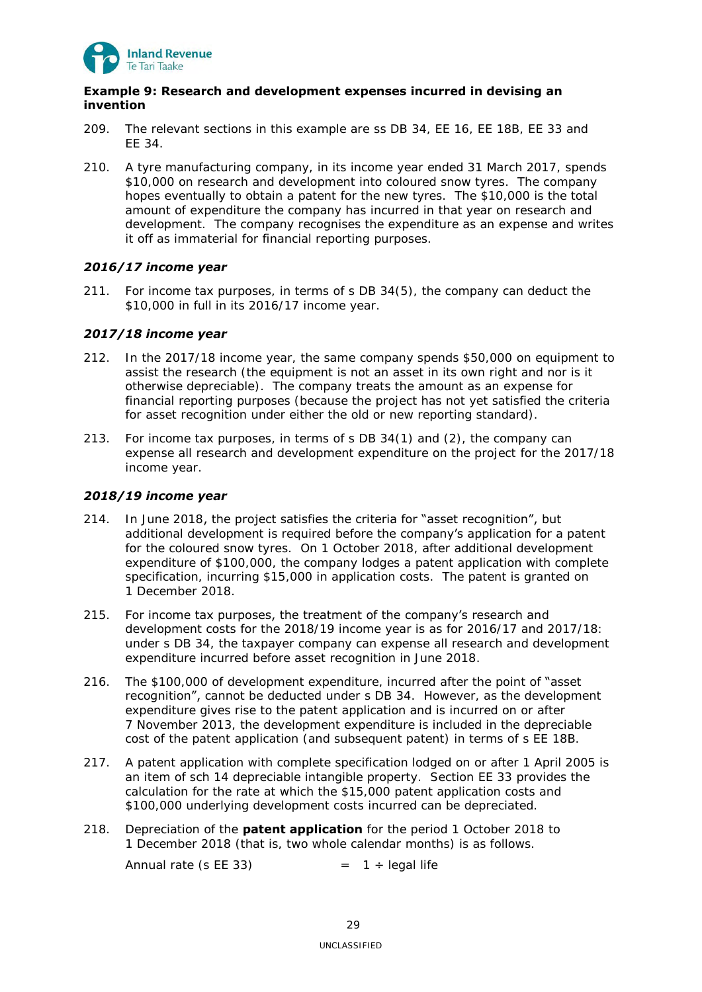

# <span id="page-28-0"></span>**Example 9: Research and development expenses incurred in devising an invention**

- 209. The relevant sections in this example are ss DB 34, EE 16, EE 18B, EE 33 and EE 34.
- 210. A tyre manufacturing company, in its income year ended 31 March 2017, spends \$10,000 on research and development into coloured snow tyres. The company hopes eventually to obtain a patent for the new tyres. The \$10,000 is the total amount of expenditure the company has incurred in that year on research and development. The company recognises the expenditure as an expense and writes it off as immaterial for financial reporting purposes.

# *2016/17 income year*

211. For income tax purposes, in terms of s DB 34(5), the company can deduct the \$10,000 in full in its 2016/17 income year.

# *2017/18 income year*

- 212. In the 2017/18 income year, the same company spends \$50,000 on equipment to assist the research (the equipment is not an asset in its own right and nor is it otherwise depreciable). The company treats the amount as an expense for financial reporting purposes (because the project has not yet satisfied the criteria for asset recognition under either the old or new reporting standard).
- 213. For income tax purposes, in terms of s DB 34(1) and (2), the company can expense all research and development expenditure on the project for the 2017/18 income year.

# *2018/19 income year*

- 214. In June 2018, the project satisfies the criteria for "asset recognition", but additional development is required before the company's application for a patent for the coloured snow tyres. On 1 October 2018, after additional development expenditure of \$100,000, the company lodges a patent application with complete specification, incurring \$15,000 in application costs. The patent is granted on 1 December 2018.
- 215. For income tax purposes, the treatment of the company's research and development costs for the 2018/19 income year is as for 2016/17 and 2017/18: under s DB 34, the taxpayer company can expense all research and development expenditure incurred before asset recognition in June 2018.
- 216. The \$100,000 of development expenditure, incurred after the point of "asset" recognition", cannot be deducted under s DB 34. However, as the development expenditure gives rise to the patent application and is incurred on or after 7 November 2013, the development expenditure is included in the depreciable cost of the patent application (and subsequent patent) in terms of s EE 18B.
- 217. A patent application with complete specification lodged on or after 1 April 2005 is an item of sch 14 depreciable intangible property. Section EE 33 provides the calculation for the rate at which the \$15,000 patent application costs and \$100,000 underlying development costs incurred can be depreciated.
- 218. Depreciation of the **patent application** for the period 1 October 2018 to 1 December 2018 (that is, two whole calendar months) is as follows.

Annual rate (s EE 33)  $= 1 \div \text{legal life}$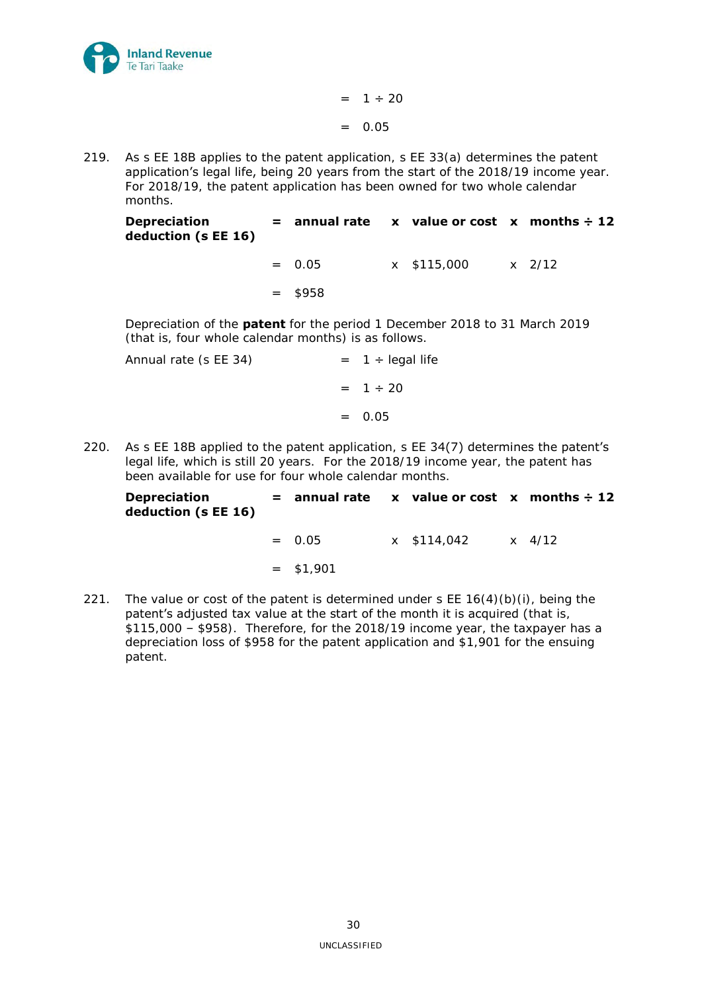

 $= 1 \div 20$  $=$  0.05

219. As s EE 18B applies to the patent application, s EE 33(a) determines the patent application's legal life, being 20 years from the start of the 2018/19 income year. For 2018/19, the patent application has been owned for two whole calendar months.

**Depreciation deduction (s EE 16) = annual rate x value or cost x months ÷ 12**

> $= 0.05$  x \$115,000 x 2/12  $=$  \$958

Depreciation of the **patent** for the period 1 December 2018 to 31 March 2019 (that is, four whole calendar months) is as follows.

| $= 1 \div \text{legal life}$ |
|------------------------------|
| $= 1 \div 20$                |
| $= 0.05$                     |
|                              |

220. As s EE 18B applied to the patent application, s EE 34(7) determines the patent's legal life, which is still 20 years. For the 2018/19 income year, the patent has been available for use for four whole calendar months.

| <b>Depreciation</b> |  | $=$ annual rate $\boldsymbol{x}$ value or cost $\boldsymbol{x}$ months $\div$ 12 |  |
|---------------------|--|----------------------------------------------------------------------------------|--|
| deduction (s EE 16) |  |                                                                                  |  |

 $= 0.05$  x \$114,042 x 4/12

 $=$  \$1,901

221. The value or cost of the patent is determined under  $s \to 16(4)(b)(i)$ , being the patent's adjusted tax value at the start of the month it is acquired (that is, \$115,000 – \$958). Therefore, for the 2018/19 income year, the taxpayer has a depreciation loss of \$958 for the patent application and \$1,901 for the ensuing patent.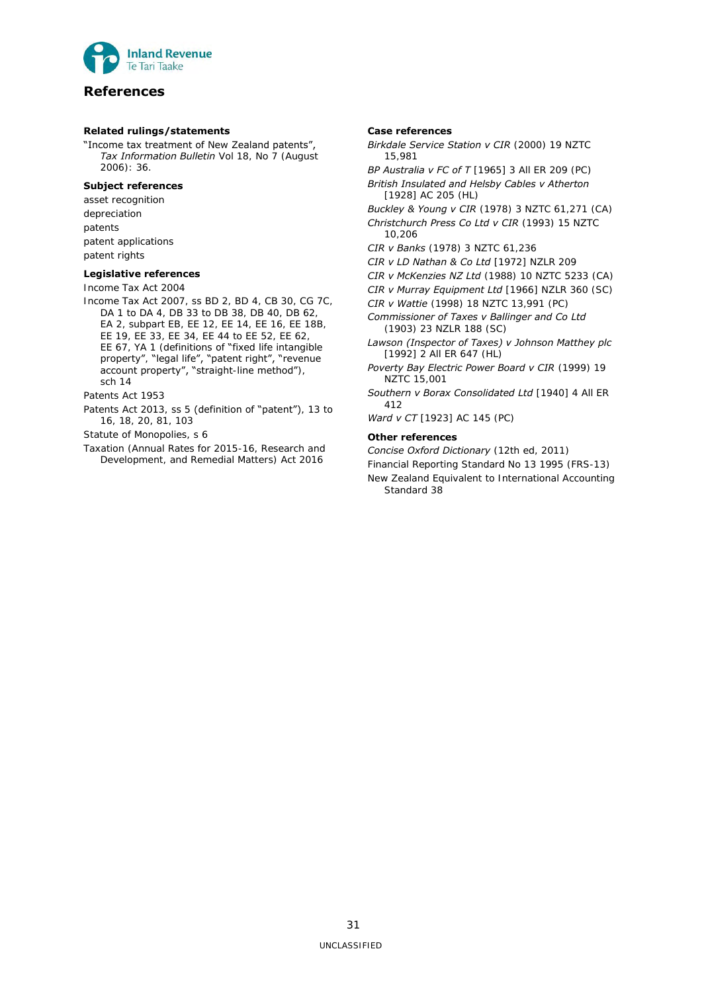

# <span id="page-30-0"></span>**References**

### **Related rulings/statements**

"Income tax treatment of New Zealand patents", *Tax Information Bulletin* Vol 18, No 7 (August 2006): 36.

## **Subject references**

asset recognition depreciation patents patent applications patent rights

### **Legislative references**

Income Tax Act 2004

Income Tax Act 2007, ss BD 2, BD 4, CB 30, CG 7C, DA 1 to DA 4, DB 33 to DB 38, DB 40, DB 62, EA 2, subpart EB, EE 12, EE 14, EE 16, EE 18B, EE 19, EE 33, EE 34, EE 44 to EE 52, EE 62, EE 67, YA 1 (definitions of "fixed life intangible property", "legal life", "patent right", "revenue account property", "straight-line method"), sch 14

Patents Act 1953

Patents Act 2013, ss 5 (definition of "patent"), 13 to 16, 18, 20, 81, 103

Statute of Monopolies, s 6

Taxation (Annual Rates for 2015-16, Research and Development, and Remedial Matters) Act 2016

## **Case references**

*Birkdale Service Station v CIR* (2000) 19 NZTC 15,981

*BP Australia v FC of T* [1965] 3 All ER 209 (PC) *British Insulated and Helsby Cables v Atherton* 

[1928] AC 205 (HL) *Buckley & Young v CIR* (1978) 3 NZTC 61,271 (CA) *Christchurch Press Co Ltd v CIR* (1993) 15 NZTC

10,206 *CIR v Banks* (1978) 3 NZTC 61,236

*CIR v LD Nathan & Co Ltd* [1972] NZLR 209

*CIR v McKenzies NZ Ltd* (1988) 10 NZTC 5233 (CA)

*CIR v Murray Equipment Ltd* [1966] NZLR 360 (SC)

*CIR v Wattie* (1998) 18 NZTC 13,991 (PC)

*Commissioner of Taxes v Ballinger and Co Ltd*  (1903) 23 NZLR 188 (SC)

*Lawson (Inspector of Taxes) v Johnson Matthey plc*  [1992] 2 All ER 647 (HL)

- *Poverty Bay Electric Power Board v CIR* (1999) 19 NZTC 15,001
- *Southern v Borax Consolidated Ltd* [1940] 4 All ER 412

*Ward v CT* [1923] AC 145 (PC)

## **Other references**

*Concise Oxford Dictionary* (12th ed, 2011)

Financial Reporting Standard No 13 1995 (FRS-13) New Zealand Equivalent to International Accounting Standard 38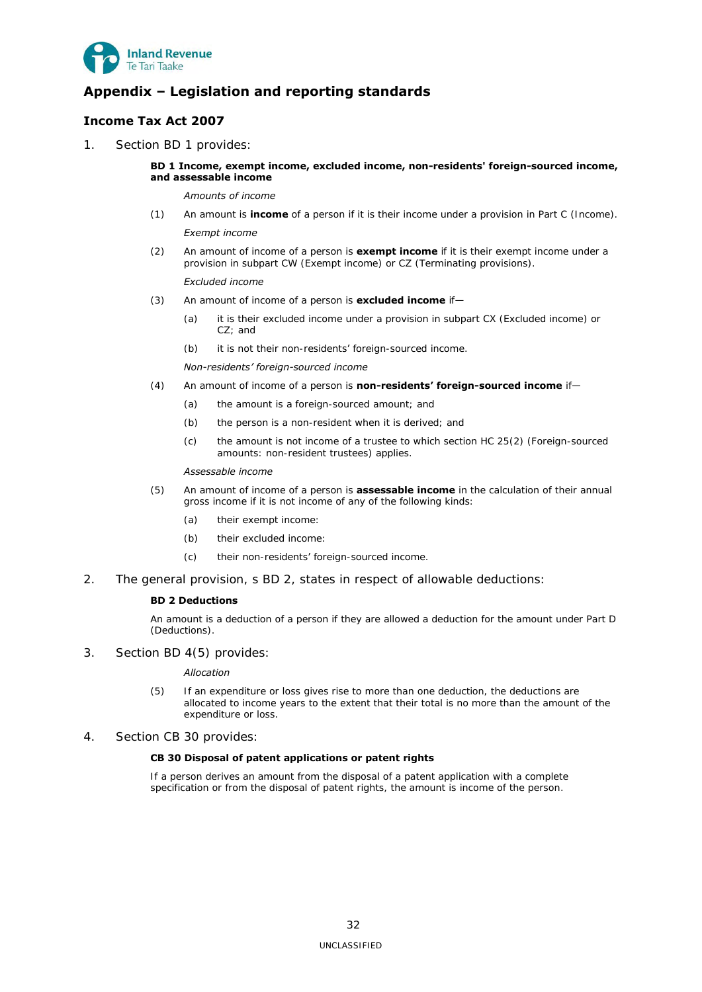

# <span id="page-31-0"></span>**Appendix – Legislation and reporting standards**

# <span id="page-31-1"></span>**Income Tax Act 2007**

1. Section BD 1 provides:

## **BD 1 Income, exempt income, excluded income, non-residents' foreign-sourced income, and assessable income**

*Amounts of income* 

- (1) An amount is **income** of a person if it is their income under a provision in Part C (Income). *Exempt income*
- (2) An amount of income of a person is **exempt income** if it is their exempt income under a provision in subpart CW (Exempt income) or CZ (Terminating provisions).

### *Excluded income*

- (3) An amount of income of a person is **excluded income** if—
	- (a) it is their excluded income under a provision in subpart CX (Excluded income) or CZ; and
	- (b) it is not their non-residents' foreign-sourced income.

### *Non-residents' foreign-sourced income*

- (4) An amount of income of a person is **non-residents' foreign-sourced income** if—
	- (a) the amount is a foreign-sourced amount; and
	- (b) the person is a non-resident when it is derived; and
	- (c) the amount is not income of a trustee to which section HC 25(2) (Foreign-sourced amounts: non-resident trustees) applies.

### *Assessable income*

- (5) An amount of income of a person is **assessable income** in the calculation of their annual gross income if it is not income of any of the following kinds:
	- (a) their exempt income:
	- (b) their excluded income:
	- (c) their non-residents' foreign-sourced income.
- 2. The general provision, s BD 2, states in respect of allowable deductions:

### **BD 2 Deductions**

An amount is a deduction of a person if they are allowed a deduction for the amount under Part D (Deductions).

3. Section BD 4(5) provides:

### *Allocation*

- (5) If an expenditure or loss gives rise to more than one deduction, the deductions are allocated to income years to the extent that their total is no more than the amount of the expenditure or loss.
- 4. Section CB 30 provides:

### **CB 30 Disposal of patent applications or patent rights**

If a person derives an amount from the disposal of a patent application with a complete specification or from the disposal of patent rights, the amount is income of the person.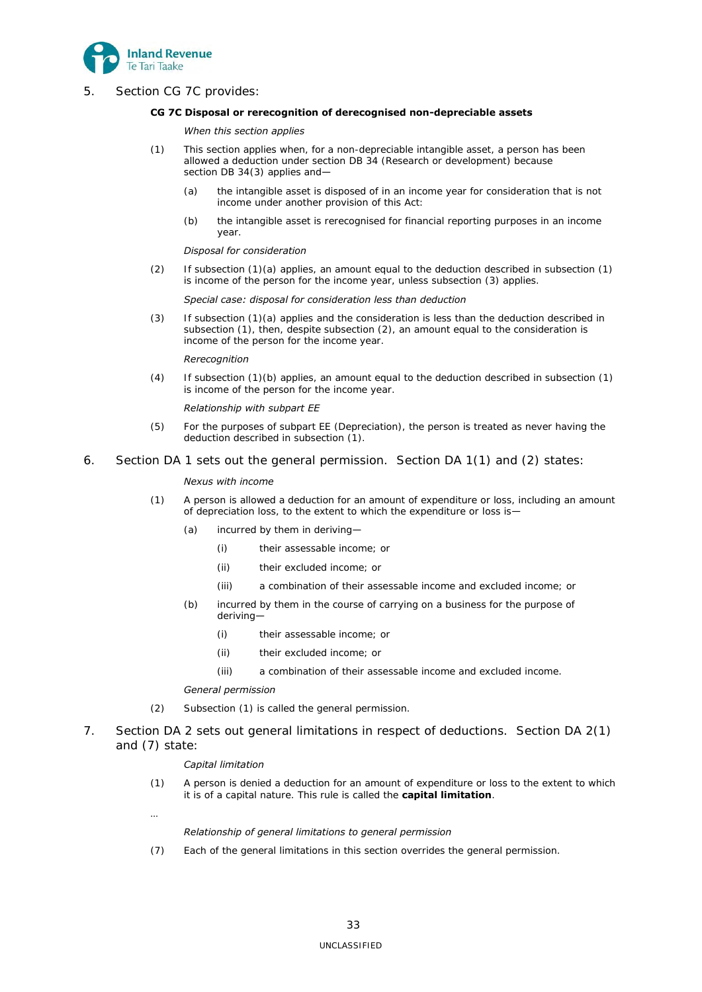

5. Section CG 7C provides:

### **CG 7C Disposal or rerecognition of derecognised non-depreciable assets**

### *When this section applies*

- (1) This section applies when, for a non-depreciable intangible asset, a person has been allowed a deduction under section DB 34 (Research or development) because section DB 34(3) applies and-
	- (a) the intangible asset is disposed of in an income year for consideration that is not income under another provision of this Act:
	- (b) the intangible asset is rerecognised for financial reporting purposes in an income year.

### *Disposal for consideration*

(2) If subsection (1)(a) applies, an amount equal to the deduction described in subsection (1) is income of the person for the income year, unless subsection (3) applies.

### *Special case: disposal for consideration less than deduction*

(3) If subsection (1)(a) applies and the consideration is less than the deduction described in subsection (1), then, despite subsection (2), an amount equal to the consideration is income of the person for the income year.

### *Rerecognition*

(4) If subsection (1)(b) applies, an amount equal to the deduction described in subsection (1) is income of the person for the income year.

## *Relationship with subpart EE*

- (5) For the purposes of subpart EE (Depreciation), the person is treated as never having the deduction described in subsection (1).
- 6. Section DA 1 sets out the general permission. Section DA 1(1) and (2) states:

## *Nexus with income*

- (1) A person is allowed a deduction for an amount of expenditure or loss, including an amount of depreciation loss, to the extent to which the expenditure or loss is—
	- (a) incurred by them in deriving—
		- (i) their assessable income; or
		- (ii) their excluded income; or
		- (iii) a combination of their assessable income and excluded income; or
	- (b) incurred by them in the course of carrying on a business for the purpose of deriving—
		- (i) their assessable income; or
		- (ii) their excluded income; or
		- (iii) a combination of their assessable income and excluded income.

### *General permission*

- (2) Subsection (1) is called the general permission.
- 7. Section DA 2 sets out general limitations in respect of deductions. Section DA 2(1) and (7) state:

### *Capital limitation*

(1) A person is denied a deduction for an amount of expenditure or loss to the extent to which it is of a capital nature. This rule is called the **capital limitation**.

…

### *Relationship of general limitations to general permission*

(7) Each of the general limitations in this section overrides the general permission.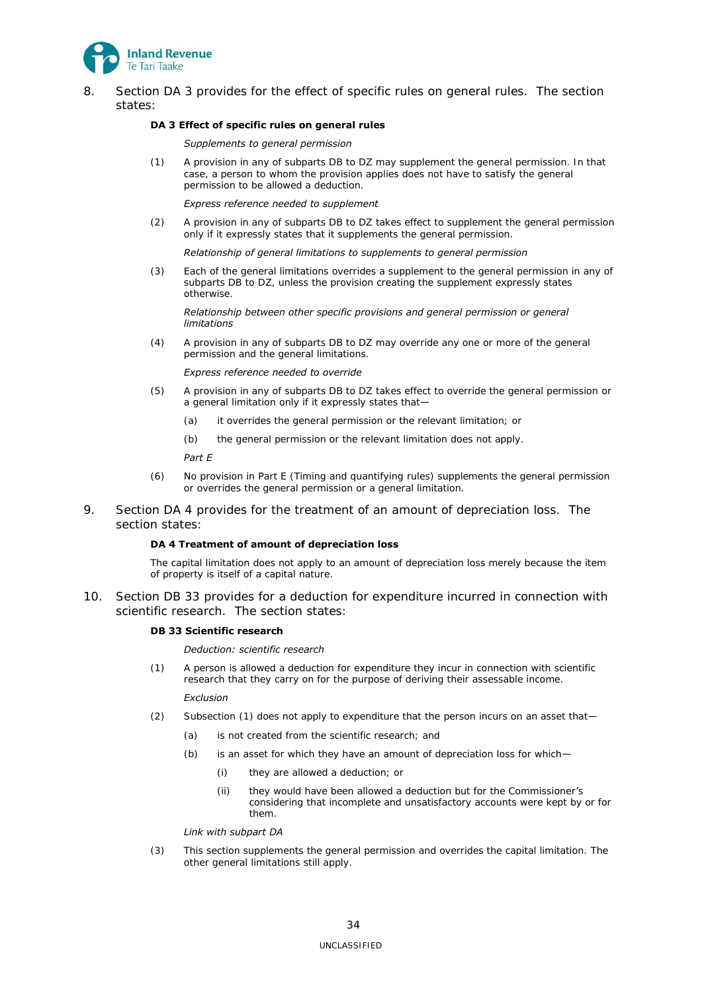

8. Section DA 3 provides for the effect of specific rules on general rules. The section states:

### **DA 3 Effect of specific rules on general rules**

### *Supplements to general permission*

(1) A provision in any of subparts DB to DZ may supplement the general permission. In that case, a person to whom the provision applies does not have to satisfy the general permission to be allowed a deduction.

### *Express reference needed to supplement*

(2) A provision in any of subparts DB to DZ takes effect to supplement the general permission only if it expressly states that it supplements the general permission.

### *Relationship of general limitations to supplements to general permission*

(3) Each of the general limitations overrides a supplement to the general permission in any of subparts DB to DZ, unless the provision creating the supplement expressly states otherwise.

### *Relationship between other specific provisions and general permission or general limitations*

(4) A provision in any of subparts DB to DZ may override any one or more of the general permission and the general limitations.

### *Express reference needed to override*

- (5) A provision in any of subparts DB to DZ takes effect to override the general permission or a general limitation only if it expressly states that—
	- (a) it overrides the general permission or the relevant limitation; or
	- (b) the general permission or the relevant limitation does not apply.

## *Part E*

- (6) No provision in Part E (Timing and quantifying rules) supplements the general permission or overrides the general permission or a general limitation.
- 9. Section DA 4 provides for the treatment of an amount of depreciation loss. The section states:

### **DA 4 Treatment of amount of depreciation loss**

The capital limitation does not apply to an amount of depreciation loss merely because the item of property is itself of a capital nature.

10. Section DB 33 provides for a deduction for expenditure incurred in connection with scientific research. The section states:

### **DB 33 Scientific research**

## *Deduction: scientific research*

(1) A person is allowed a deduction for expenditure they incur in connection with scientific research that they carry on for the purpose of deriving their assessable income.

### *Exclusion*

- (2) Subsection (1) does not apply to expenditure that the person incurs on an asset that—
	- (a) is not created from the scientific research; and
	- (b) is an asset for which they have an amount of depreciation loss for which—
		- (i) they are allowed a deduction; or
		- (ii) they would have been allowed a deduction but for the Commissioner's considering that incomplete and unsatisfactory accounts were kept by or for them.

### *Link with subpart DA*

(3) This section supplements the general permission and overrides the capital limitation. The other general limitations still apply.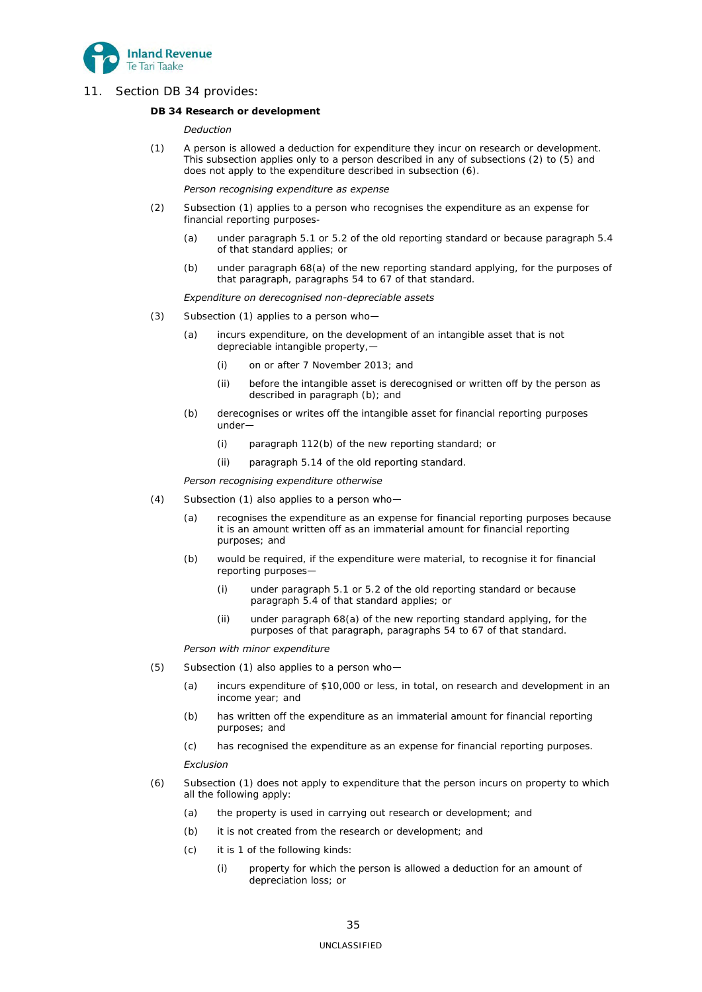

11. Section DB 34 provides:

### **DB 34 Research or development**

### *Deduction*

(1) A person is allowed a deduction for expenditure they incur on research or development. This subsection applies only to a person described in any of subsections (2) to (5) and does not apply to the expenditure described in subsection (6).

#### *Person recognising expenditure as expense*

- (2) Subsection (1) applies to a person who recognises the expenditure as an expense for financial reporting purposes-
	- (a) under paragraph 5.1 or 5.2 of the old reporting standard or because paragraph 5.4 of that standard applies; or
	- (b) under paragraph 68(a) of the new reporting standard applying, for the purposes of that paragraph, paragraphs 54 to 67 of that standard.

#### *Expenditure on derecognised non-depreciable assets*

- (3) Subsection (1) applies to a person who—
	- (a) incurs expenditure, on the development of an intangible asset that is not depreciable intangible property,—
		- (i) on or after 7 November 2013; and
		- (ii) before the intangible asset is derecognised or written off by the person as described in paragraph (b); and
	- (b) derecognises or writes off the intangible asset for financial reporting purposes under—
		- (i) paragraph 112(b) of the new reporting standard; or
		- (ii) paragraph 5.14 of the old reporting standard.

### *Person recognising expenditure otherwise*

- (4) Subsection (1) also applies to a person who—
	- (a) recognises the expenditure as an expense for financial reporting purposes because it is an amount written off as an immaterial amount for financial reporting purposes; and
	- (b) would be required, if the expenditure were material, to recognise it for financial reporting purposes—
		- (i) under paragraph 5.1 or 5.2 of the old reporting standard or because paragraph 5.4 of that standard applies; or
		- (ii) under paragraph 68(a) of the new reporting standard applying, for the purposes of that paragraph, paragraphs 54 to 67 of that standard.

## *Person with minor expenditure*

- (5) Subsection (1) also applies to a person who—
	- (a) incurs expenditure of \$10,000 or less, in total, on research and development in an income year; and
	- (b) has written off the expenditure as an immaterial amount for financial reporting purposes; and
	- (c) has recognised the expenditure as an expense for financial reporting purposes.

#### *Exclusion*

- (6) Subsection (1) does not apply to expenditure that the person incurs on property to which all the following apply:
	- (a) the property is used in carrying out research or development; and
	- (b) it is not created from the research or development; and
	- (c) it is 1 of the following kinds:
		- (i) property for which the person is allowed a deduction for an amount of depreciation loss; or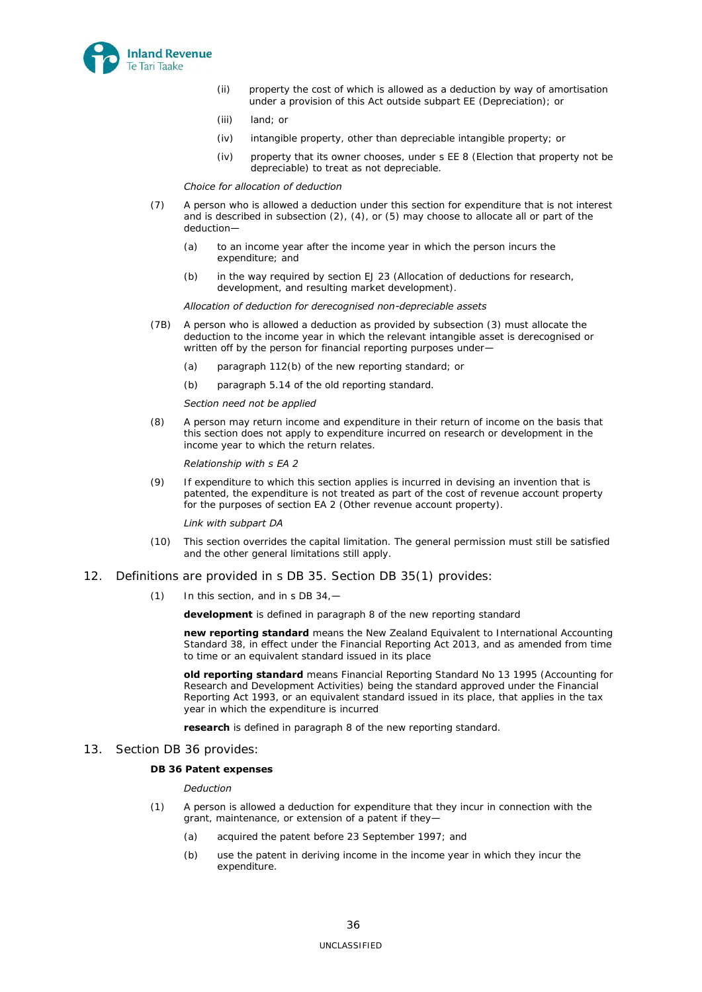

- (ii) property the cost of which is allowed as a deduction by way of amortisation under a provision of this Act outside subpart EE (Depreciation); or
- (iii) land; or
- (iv) intangible property, other than depreciable intangible property; or
- (iv) property that its owner chooses, under s EE 8 (Election that property not be depreciable) to treat as not depreciable.

### *Choice for allocation of deduction*

- (7) A person who is allowed a deduction under this section for expenditure that is not interest and is described in subsection (2), (4), or (5) may choose to allocate all or part of the deduction—
	- (a) to an income year after the income year in which the person incurs the expenditure; and
	- (b) in the way required by section EJ 23 (Allocation of deductions for research, development, and resulting market development).

#### *Allocation of deduction for derecognised non-depreciable assets*

- (7B) A person who is allowed a deduction as provided by subsection (3) must allocate the deduction to the income year in which the relevant intangible asset is derecognised or written off by the person for financial reporting purposes under-
	- (a) paragraph 112(b) of the new reporting standard; or
	- (b) paragraph 5.14 of the old reporting standard.

#### *Section need not be applied*

(8) A person may return income and expenditure in their return of income on the basis that this section does not apply to expenditure incurred on research or development in the income year to which the return relates.

### *Relationship with s EA 2*

(9) If expenditure to which this section applies is incurred in devising an invention that is patented, the expenditure is not treated as part of the cost of revenue account property for the purposes of section EA 2 (Other revenue account property).

#### *Link with subpart DA*

- (10) This section overrides the capital limitation. The general permission must still be satisfied and the other general limitations still apply.
- 12. Definitions are provided in s DB 35. Section DB 35(1) provides:
	- $(1)$  In this section, and in s DB 34. $-$

**development** is defined in paragraph 8 of the new reporting standard

**new reporting standard** means the New Zealand Equivalent to International Accounting Standard 38, in effect under the Financial Reporting Act 2013, and as amended from time to time or an equivalent standard issued in its place

**old reporting standard** means Financial Reporting Standard No 13 1995 (Accounting for Research and Development Activities) being the standard approved under the Financial Reporting Act 1993, or an equivalent standard issued in its place, that applies in the tax year in which the expenditure is incurred

**research** is defined in paragraph 8 of the new reporting standard.

13. Section DB 36 provides:

### **DB 36 Patent expenses**

### *Deduction*

- (1) A person is allowed a deduction for expenditure that they incur in connection with the grant, maintenance, or extension of a patent if they—
	- (a) acquired the patent before 23 September 1997; and
	- (b) use the patent in deriving income in the income year in which they incur the expenditure.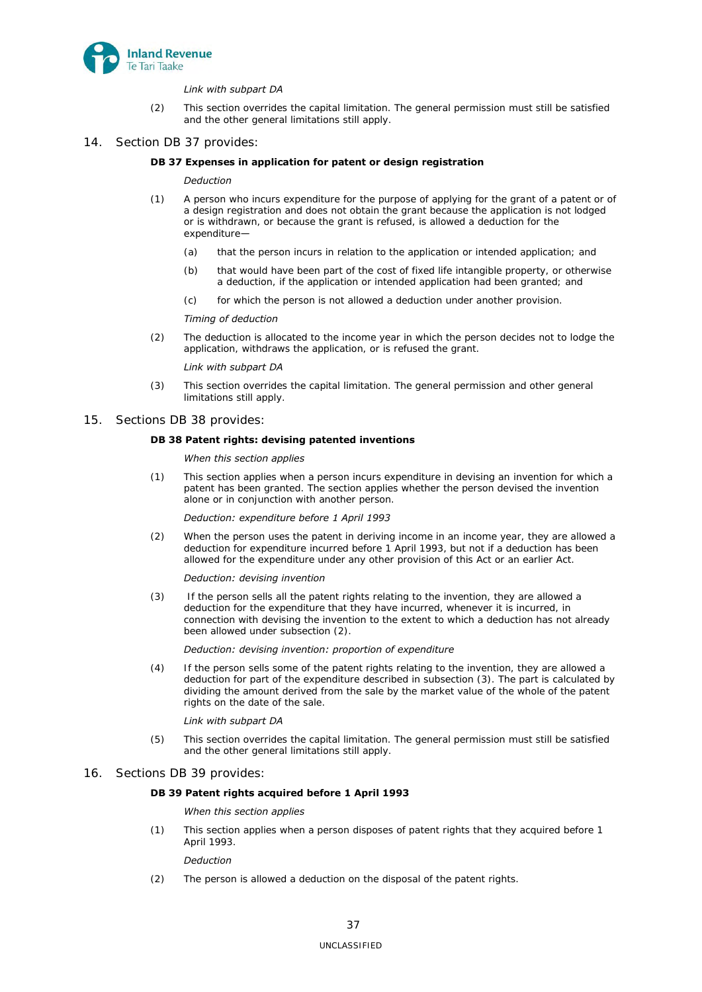

### *Link with subpart DA*

- (2) This section overrides the capital limitation. The general permission must still be satisfied and the other general limitations still apply.
- 14. Section DB 37 provides:

### **DB 37 Expenses in application for patent or design registration**

### *Deduction*

- (1) A person who incurs expenditure for the purpose of applying for the grant of a patent or of a design registration and does not obtain the grant because the application is not lodged or is withdrawn, or because the grant is refused, is allowed a deduction for the expenditure—
	- (a) that the person incurs in relation to the application or intended application; and
	- (b) that would have been part of the cost of fixed life intangible property, or otherwise a deduction, if the application or intended application had been granted; and
	- (c) for which the person is not allowed a deduction under another provision.

#### *Timing of deduction*

(2) The deduction is allocated to the income year in which the person decides not to lodge the application, withdraws the application, or is refused the grant.

#### *Link with subpart DA*

- (3) This section overrides the capital limitation. The general permission and other general limitations still apply.
- 15. Sections DB 38 provides:

### **DB 38 Patent rights: devising patented inventions**

#### *When this section applies*

(1) This section applies when a person incurs expenditure in devising an invention for which a patent has been granted. The section applies whether the person devised the invention alone or in conjunction with another person.

#### *Deduction: expenditure before 1 April 1993*

(2) When the person uses the patent in deriving income in an income year, they are allowed a deduction for expenditure incurred before 1 April 1993, but not if a deduction has been allowed for the expenditure under any other provision of this Act or an earlier Act.

#### *Deduction: devising invention*

(3) If the person sells all the patent rights relating to the invention, they are allowed a deduction for the expenditure that they have incurred, whenever it is incurred, in connection with devising the invention to the extent to which a deduction has not already been allowed under subsection (2).

### *Deduction: devising invention: proportion of expenditure*

(4) If the person sells some of the patent rights relating to the invention, they are allowed a deduction for part of the expenditure described in subsection (3). The part is calculated by dividing the amount derived from the sale by the market value of the whole of the patent rights on the date of the sale.

### *Link with subpart DA*

(5) This section overrides the capital limitation. The general permission must still be satisfied and the other general limitations still apply.

### 16. Sections DB 39 provides:

### **DB 39 Patent rights acquired before 1 April 1993**

### *When this section applies*

(1) This section applies when a person disposes of patent rights that they acquired before 1 April 1993.

### *Deduction*

(2) The person is allowed a deduction on the disposal of the patent rights.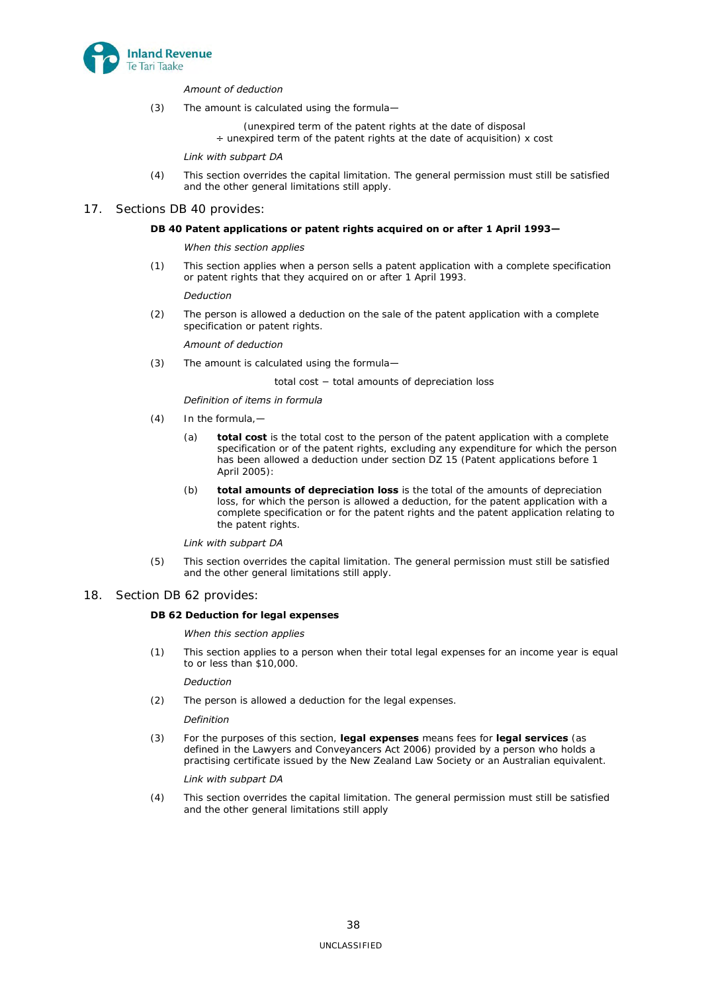

### *Amount of deduction*

- (3) The amount is calculated using the formula—
	- (unexpired term of the patent rights at the date of disposal
	- $\div$  unexpired term of the patent rights at the date of acquisition) x cost

### *Link with subpart DA*

(4) This section overrides the capital limitation. The general permission must still be satisfied and the other general limitations still apply.

## 17. Sections DB 40 provides:

### **DB 40 Patent applications or patent rights acquired on or after 1 April 1993—**

### *When this section applies*

(1) This section applies when a person sells a patent application with a complete specification or patent rights that they acquired on or after 1 April 1993.

### *Deduction*

(2) The person is allowed a deduction on the sale of the patent application with a complete specification or patent rights.

### *Amount of deduction*

(3) The amount is calculated using the formula—

### total cost − total amounts of depreciation loss

### *Definition of items in formula*

- (4) In the formula,—
	- (a) **total cost** is the total cost to the person of the patent application with a complete specification or of the patent rights, excluding any expenditure for which the person has been allowed a deduction under section DZ 15 (Patent applications before 1 April 2005):
	- (b) **total amounts of depreciation loss** is the total of the amounts of depreciation loss, for which the person is allowed a deduction, for the patent application with a complete specification or for the patent rights and the patent application relating to the patent rights.

### *Link with subpart DA*

(5) This section overrides the capital limitation. The general permission must still be satisfied and the other general limitations still apply.

### 18. Section DB 62 provides:

### **DB 62 Deduction for legal expenses**

### *When this section applies*

(1) This section applies to a person when their total legal expenses for an income year is equal to or less than \$10,000.

### *Deduction*

(2) The person is allowed a deduction for the legal expenses.

### *Definition*

(3) For the purposes of this section, **legal expenses** means fees for **legal services** (as defined in the Lawyers and Conveyancers Act 2006) provided by a person who holds a practising certificate issued by the New Zealand Law Society or an Australian equivalent.

## *Link with subpart DA*

(4) This section overrides the capital limitation. The general permission must still be satisfied and the other general limitations still apply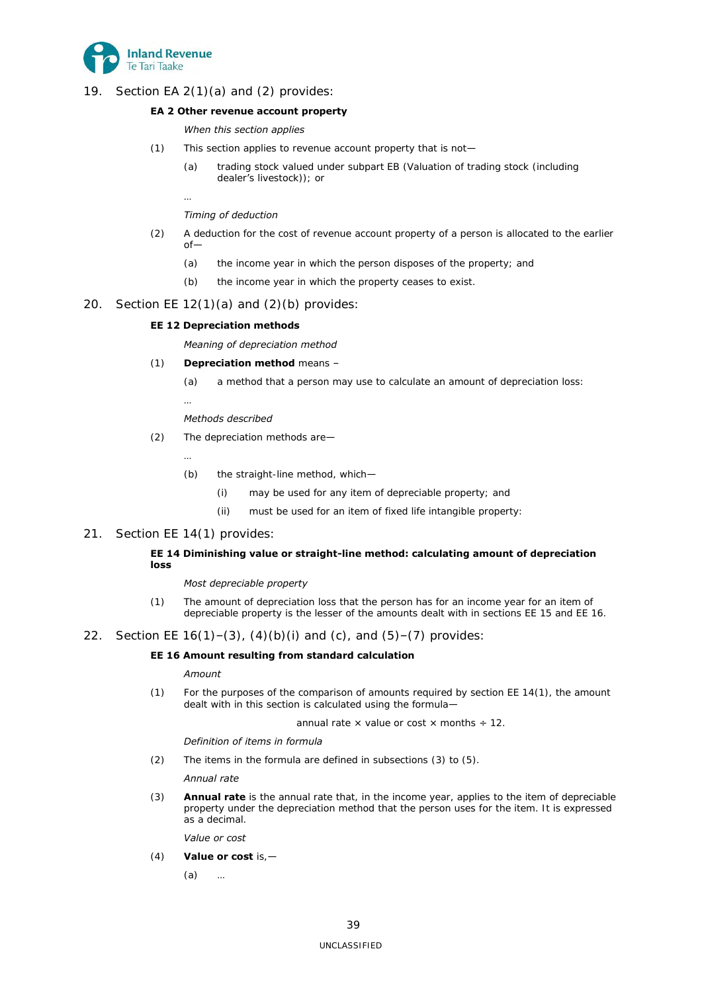

19. Section EA 2(1)(a) and (2) provides:

## **EA 2 Other revenue account property**

## *When this section applies*

- (1) This section applies to revenue account property that is not—
	- (a) trading stock valued under subpart EB (Valuation of trading stock (including dealer's livestock)); or
	- …

## *Timing of deduction*

- (2) A deduction for the cost of revenue account property of a person is allocated to the earlier  $\cap f$ -
	- (a) the income year in which the person disposes of the property; and
	- (b) the income year in which the property ceases to exist.

## 20. Section EE  $12(1)(a)$  and  $(2)(b)$  provides:

## **EE 12 Depreciation methods**

*Meaning of depreciation method* 

## (1) **Depreciation method** means –

- (a) a method that a person may use to calculate an amount of depreciation loss:
- …

## *Methods described*

- (2) The depreciation methods are—
	- …
	- (b) the straight-line method, which—
		- (i) may be used for any item of depreciable property; and
		- (ii) must be used for an item of fixed life intangible property:

## 21. Section EE 14(1) provides:

## **EE 14 Diminishing value or straight-line method: calculating amount of depreciation loss**

### *Most depreciable property*

(1) The amount of depreciation loss that the person has for an income year for an item of depreciable property is the lesser of the amounts dealt with in sections EE 15 and EE 16.

## 22. Section EE  $16(1) - (3)$ ,  $(4)(b)(i)$  and  $(c)$ , and  $(5) - (7)$  provides:

## **EE 16 Amount resulting from standard calculation**

### *Amount*

(1) For the purposes of the comparison of amounts required by section EE 14(1), the amount dealt with in this section is calculated using the formula—

annual rate  $\times$  value or cost  $\times$  months  $\div$  12.

### *Definition of items in formula*

(2) The items in the formula are defined in subsections (3) to (5).

### *Annual rate*

(3) **Annual rate** is the annual rate that, in the income year, applies to the item of depreciable property under the depreciation method that the person uses for the item. It is expressed as a decimal.

*Value or cost* 

(4) **Value or cost** is,—

(a) …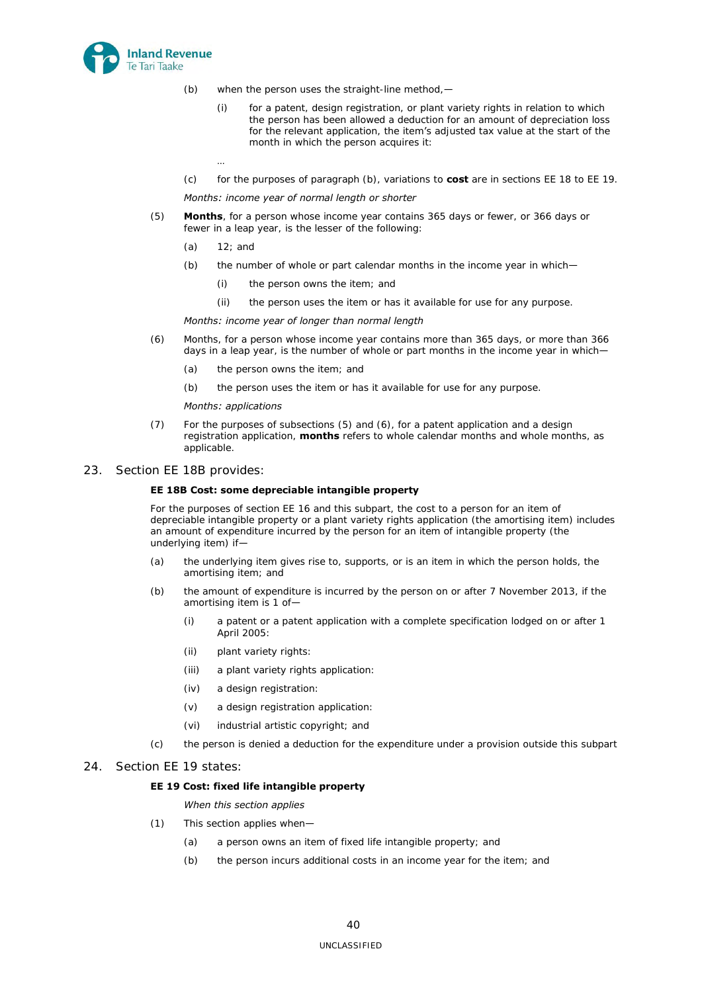

- (b) when the person uses the straight-line method,—
	- (i) for a patent, design registration, or plant variety rights in relation to which the person has been allowed a deduction for an amount of depreciation loss for the relevant application, the item's adjusted tax value at the start of the month in which the person acquires it:
- (c) for the purposes of paragraph (b), variations to **cost** are in sections EE 18 to EE 19.

### *Months: income year of normal length or shorter*

- (5) **Months**, for a person whose income year contains 365 days or fewer, or 366 days or fewer in a leap year, is the lesser of the following:
	- (a) 12; and

…

- (b) the number of whole or part calendar months in the income year in which—
	- (i) the person owns the item; and
	- (ii) the person uses the item or has it available for use for any purpose.

### *Months: income year of longer than normal length*

- (6) Months, for a person whose income year contains more than 365 days, or more than 366 days in a leap year, is the number of whole or part months in the income year in which-
	- (a) the person owns the item; and
	- (b) the person uses the item or has it available for use for any purpose.

### *Months: applications*

- (7) For the purposes of subsections (5) and (6), for a patent application and a design registration application, **months** refers to whole calendar months and whole months, as applicable.
- 23. Section EE 18B provides:

## **EE 18B Cost: some depreciable intangible property**

For the purposes of section EE 16 and this subpart, the cost to a person for an item of depreciable intangible property or a plant variety rights application (the amortising item) includes an amount of expenditure incurred by the person for an item of intangible property (the underlying item) if—

- (a) the underlying item gives rise to, supports, or is an item in which the person holds, the amortising item; and
- (b) the amount of expenditure is incurred by the person on or after 7 November 2013, if the amortising item is 1 of—
	- (i) a patent or a patent application with a complete specification lodged on or after 1 April 2005:
	- (ii) plant variety rights:
	- (iii) a plant variety rights application:
	- (iv) a design registration:
	- (v) a design registration application:
	- (vi) industrial artistic copyright; and
- (c) the person is denied a deduction for the expenditure under a provision outside this subpart

## 24. Section EE 19 states:

### **EE 19 Cost: fixed life intangible property**

## *When this section applies*

- (1) This section applies when—
	- (a) a person owns an item of fixed life intangible property; and
	- (b) the person incurs additional costs in an income year for the item; and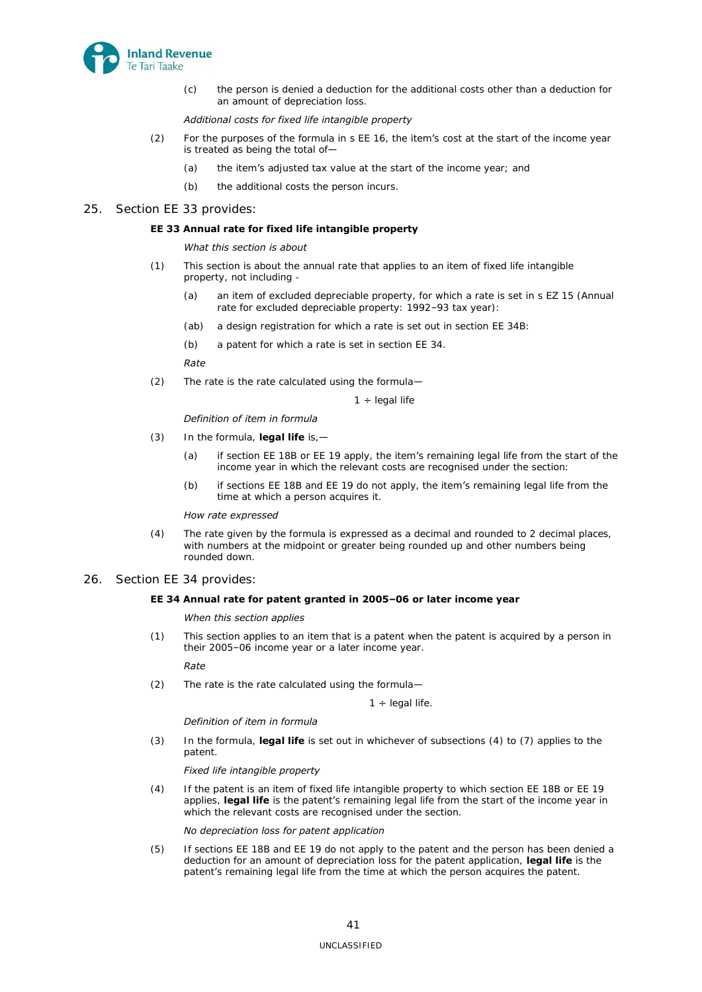

(c) the person is denied a deduction for the additional costs other than a deduction for an amount of depreciation loss.

### *Additional costs for fixed life intangible property*

- (2) For the purposes of the formula in s EE 16, the item's cost at the start of the income year is treated as being the total of—
	- (a) the item's adjusted tax value at the start of the income year; and
	- (b) the additional costs the person incurs.

### 25. Section EE 33 provides:

### **EE 33 Annual rate for fixed life intangible property**

### *What this section is about*

- (1) This section is about the annual rate that applies to an item of fixed life intangible property, not including
	- (a) an item of excluded depreciable property, for which a rate is set in s EZ 15 (Annual rate for excluded depreciable property: 1992–93 tax year):
	- (ab) a design registration for which a rate is set out in section EE 34B:
	- (b) a patent for which a rate is set in section EE 34.

### *Rate*

(2) The rate is the rate calculated using the formula—

 $1 \div$  legal life

### *Definition of item in formula*

- (3) In the formula, **legal life** is,—
	- (a) if section EE 18B or EE 19 apply, the item's remaining legal life from the start of the income year in which the relevant costs are recognised under the section:
	- (b) if sections EE 18B and EE 19 do not apply, the item's remaining legal life from the time at which a person acquires it.

### *How rate expressed*

(4) The rate given by the formula is expressed as a decimal and rounded to 2 decimal places, with numbers at the midpoint or greater being rounded up and other numbers being rounded down.

### 26. Section EE 34 provides:

## **EE 34 Annual rate for patent granted in 2005–06 or later income year**

### *When this section applies*

(1) This section applies to an item that is a patent when the patent is acquired by a person in their 2005–06 income year or a later income year.

### *Rate*

(2) The rate is the rate calculated using the formula—

 $1 \div$  legal life.

### *Definition of item in formula*

(3) In the formula, **legal life** is set out in whichever of subsections (4) to (7) applies to the patent.

### *Fixed life intangible property*

(4) If the patent is an item of fixed life intangible property to which section EE 18B or EE 19 applies, **legal life** is the patent's remaining legal life from the start of the income year in which the relevant costs are recognised under the section.

### *No depreciation loss for patent application*

(5) If sections EE 18B and EE 19 do not apply to the patent and the person has been denied a deduction for an amount of depreciation loss for the patent application, **legal life** is the patent's remaining legal life from the time at which the person acquires the patent.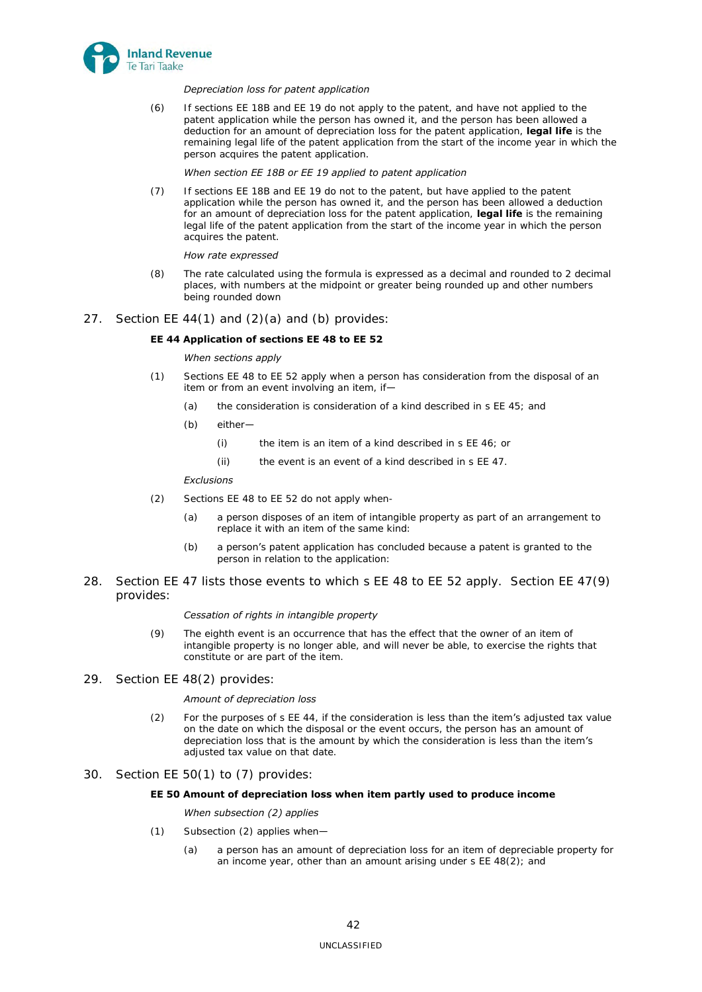

### *Depreciation loss for patent application*

(6) If sections EE 18B and EE 19 do not apply to the patent, and have not applied to the patent application while the person has owned it, and the person has been allowed a deduction for an amount of depreciation loss for the patent application, **legal life** is the remaining legal life of the patent application from the start of the income year in which the person acquires the patent application.

### *When section EE 18B or EE 19 applied to patent application*

(7) If sections EE 18B and EE 19 do not to the patent, but have applied to the patent application while the person has owned it, and the person has been allowed a deduction for an amount of depreciation loss for the patent application, **legal life** is the remaining legal life of the patent application from the start of the income year in which the person acquires the patent.

### *How rate expressed*

- (8) The rate calculated using the formula is expressed as a decimal and rounded to 2 decimal places, with numbers at the midpoint or greater being rounded up and other numbers being rounded down
- 27. Section EE 44(1) and (2)(a) and (b) provides:

### **EE 44 Application of sections EE 48 to EE 52**

### *When sections apply*

- (1) Sections EE 48 to EE 52 apply when a person has consideration from the disposal of an item or from an event involving an item, if—
	- (a) the consideration is consideration of a kind described in s EE 45; and
	- (b) either—
		- (i) the item is an item of a kind described in s EE 46; or
		- (ii) the event is an event of a kind described in s EE 47.

### *Exclusions*

- (2) Sections EE 48 to EE 52 do not apply when-
	- (a) a person disposes of an item of intangible property as part of an arrangement to replace it with an item of the same kind:
	- (b) a person's patent application has concluded because a patent is granted to the person in relation to the application:
- 28. Section EE 47 lists those events to which s EE 48 to EE 52 apply. Section EE 47(9) provides:

### *Cessation of rights in intangible property*

- (9) The eighth event is an occurrence that has the effect that the owner of an item of intangible property is no longer able, and will never be able, to exercise the rights that constitute or are part of the item.
- 29. Section EE 48(2) provides:

### *Amount of depreciation loss*

- (2) For the purposes of s EE 44, if the consideration is less than the item's adjusted tax value on the date on which the disposal or the event occurs, the person has an amount of depreciation loss that is the amount by which the consideration is less than the item's adjusted tax value on that date.
- 30. Section EE 50(1) to (7) provides:

### **EE 50 Amount of depreciation loss when item partly used to produce income**

### *When subsection (2) applies*

- (1) Subsection (2) applies when—
	- (a) a person has an amount of depreciation loss for an item of depreciable property for an income year, other than an amount arising under s EE 48(2); and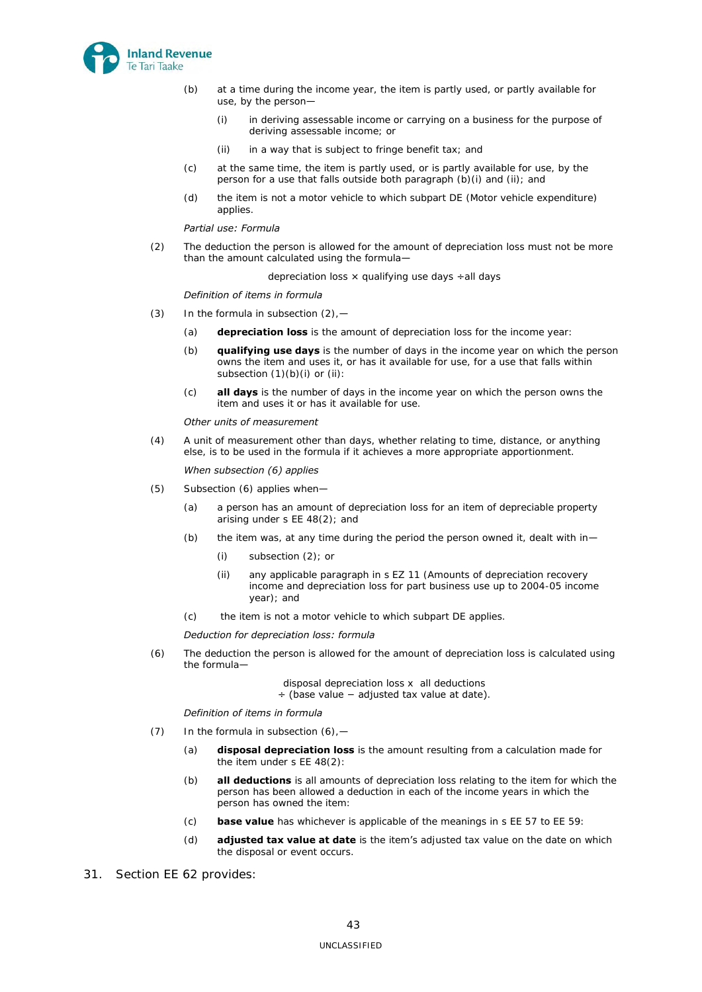

- (b) at a time during the income year, the item is partly used, or partly available for use, by the person—
	- (i) in deriving assessable income or carrying on a business for the purpose of deriving assessable income; or
	- (ii) in a way that is subject to fringe benefit tax; and
- (c) at the same time, the item is partly used, or is partly available for use, by the person for a use that falls outside both paragraph (b)(i) and (ii); and
- (d) the item is not a motor vehicle to which subpart DE (Motor vehicle expenditure) applies.

### *Partial use: Formula*

(2) The deduction the person is allowed for the amount of depreciation loss must not be more than the amount calculated using the formula-

depreciation loss  $\times$  qualifying use days  $\div$ all days

#### *Definition of items in formula*

- (3) In the formula in subsection  $(2)$ ,  $-$ 
	- (a) **depreciation loss** is the amount of depreciation loss for the income year:
	- (b) **qualifying use days** is the number of days in the income year on which the person owns the item and uses it, or has it available for use, for a use that falls within subsection (1)(b)(i) or (ii):
	- (c) **all days** is the number of days in the income year on which the person owns the item and uses it or has it available for use.

#### *Other units of measurement*

(4) A unit of measurement other than days, whether relating to time, distance, or anything else, is to be used in the formula if it achieves a more appropriate apportionment.

#### *When subsection (6) applies*

- (5) Subsection (6) applies when—
	- (a) a person has an amount of depreciation loss for an item of depreciable property arising under s EE 48(2); and
	- (b) the item was, at any time during the period the person owned it, dealt with in-
		- (i) subsection (2); or
		- (ii) any applicable paragraph in s EZ 11 (Amounts of depreciation recovery income and depreciation loss for part business use up to 2004-05 income year); and
	- (c) the item is not a motor vehicle to which subpart DE applies.

#### *Deduction for depreciation loss: formula*

(6) The deduction the person is allowed for the amount of depreciation loss is calculated using the formula—

disposal depreciation loss x all deductions

÷ (base value − adjusted tax value at date).

#### *Definition of items in formula*

- (7) In the formula in subsection  $(6)$ 
	- (a) **disposal depreciation loss** is the amount resulting from a calculation made for the item under s EE 48(2):
	- (b) **all deductions** is all amounts of depreciation loss relating to the item for which the person has been allowed a deduction in each of the income years in which the person has owned the item:
	- (c) **base value** has whichever is applicable of the meanings in s EE 57 to EE 59:
	- (d) **adjusted tax value at date** is the item's adjusted tax value on the date on which the disposal or event occurs.
- 31. Section EE 62 provides: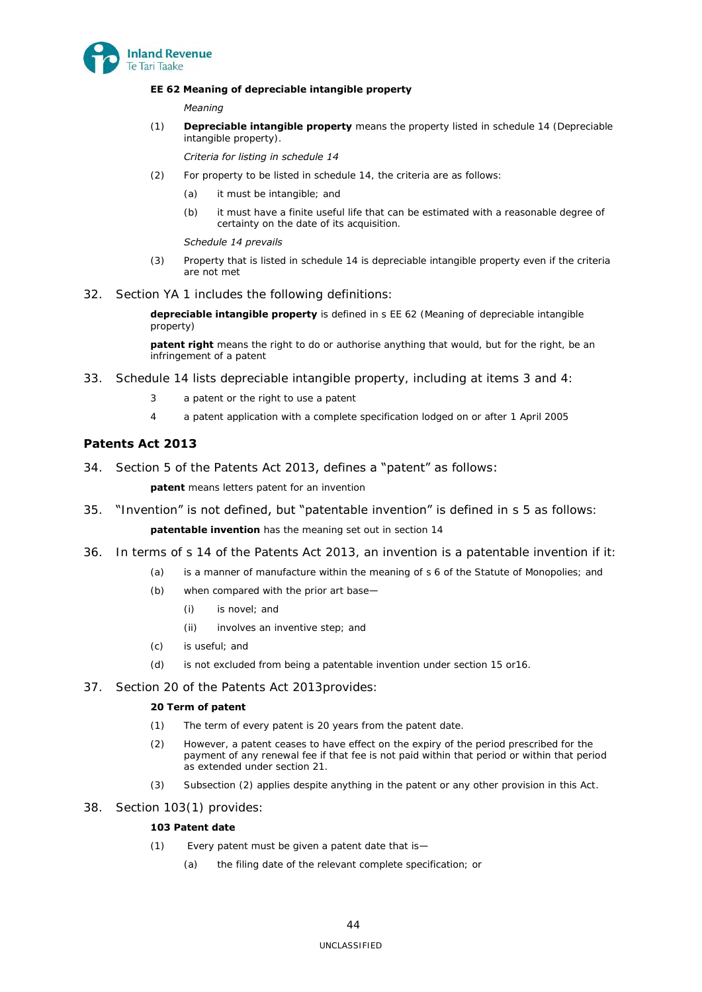

## **EE 62 Meaning of depreciable intangible property**

### *Meaning*

(1) **Depreciable intangible property** means the property listed in schedule 14 (Depreciable intangible property).

### *Criteria for listing in schedule 14*

- (2) For property to be listed in schedule 14, the criteria are as follows:
	- (a) it must be intangible; and
	- (b) it must have a finite useful life that can be estimated with a reasonable degree of certainty on the date of its acquisition.

### *Schedule 14 prevails*

- (3) Property that is listed in schedule 14 is depreciable intangible property even if the criteria are not met
- 32. Section YA 1 includes the following definitions:

**depreciable intangible property** is defined in s EE 62 (Meaning of depreciable intangible property)

**patent right** means the right to do or authorise anything that would, but for the right, be an infringement of a patent

- 33. Schedule 14 lists depreciable intangible property, including at items 3 and 4:
	- 3 a patent or the right to use a patent
	- 4 a patent application with a complete specification lodged on or after 1 April 2005

## <span id="page-43-0"></span>**Patents Act 2013**

34. Section 5 of the Patents Act 2013, defines a "patent" as follows:

**patent** means letters patent for an invention

35. "Invention" is not defined, but "patentable invention" is defined in s 5 as follows:

**patentable invention** has the meaning set out in section 14

- 36. In terms of s 14 of the Patents Act 2013, an invention is a patentable invention if it:
	- (a) is a manner of manufacture within the meaning of s 6 of the Statute of Monopolies; and
	- (b) when compared with the prior art base—
		- (i) is novel; and
		- (ii) involves an inventive step; and
	- (c) is useful; and
	- (d) is not excluded from being a patentable invention under section 15 or16.
- 37. Section 20 of the Patents Act 2013provides:

## **20 Term of patent**

- (1) The term of every patent is 20 years from the patent date.
- (2) However, a patent ceases to have effect on the expiry of the period prescribed for the payment of any renewal fee if that fee is not paid within that period or within that period as extended under section 21.
- (3) Subsection (2) applies despite anything in the patent or any other provision in this Act.
- 38. Section 103(1) provides:

## **103 Patent date**

- (1) Every patent must be given a patent date that is—
	- (a) the filing date of the relevant complete specification; or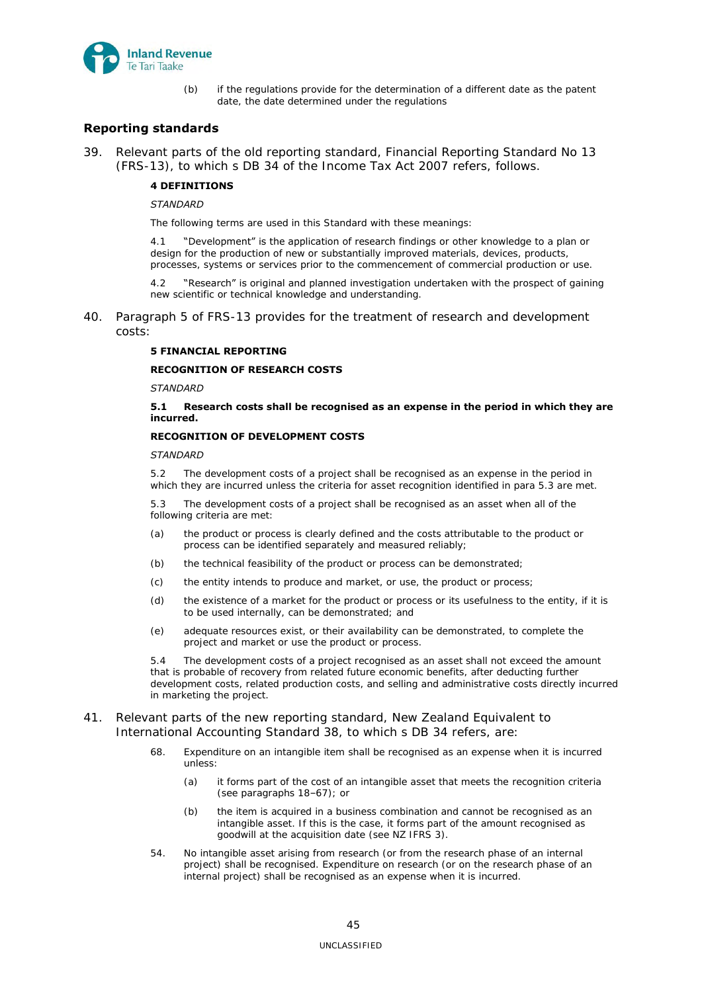

(b) if the regulations provide for the determination of a different date as the patent date, the date determined under the regulations

## <span id="page-44-0"></span>**Reporting standards**

39. Relevant parts of the old reporting standard, Financial Reporting Standard No 13 (FRS-13), to which s DB 34 of the Income Tax Act 2007 refers, follows.

## **4 DEFINITIONS**

### *STANDARD*

The following terms are used in this Standard with these meanings:

4.1 "Development" is the application of research findings or other knowledge to a plan or design for the production of new or substantially improved materials, devices, products, processes, systems or services prior to the commencement of commercial production or use.

4.2 "Research" is original and planned investigation undertaken with the prospect of gaining new scientific or technical knowledge and understanding.

40. Paragraph 5 of FRS-13 provides for the treatment of research and development costs:

## **5 FINANCIAL REPORTING**

### **RECOGNITION OF RESEARCH COSTS**

*STANDARD* 

### **5.1 Research costs shall be recognised as an expense in the period in which they are incurred.**

## **RECOGNITION OF DEVELOPMENT COSTS**

### *STANDARD*

5.2 The development costs of a project shall be recognised as an expense in the period in which they are incurred unless the criteria for asset recognition identified in para 5.3 are met.

5.3 The development costs of a project shall be recognised as an asset when all of the following criteria are met:

- (a) the product or process is clearly defined and the costs attributable to the product or process can be identified separately and measured reliably;
- (b) the technical feasibility of the product or process can be demonstrated;
- (c) the entity intends to produce and market, or use, the product or process;
- (d) the existence of a market for the product or process or its usefulness to the entity, if it is to be used internally, can be demonstrated; and
- (e) adequate resources exist, or their availability can be demonstrated, to complete the project and market or use the product or process.

5.4 The development costs of a project recognised as an asset shall not exceed the amount that is probable of recovery from related future economic benefits, after deducting further development costs, related production costs, and selling and administrative costs directly incurred in marketing the project.

## 41. Relevant parts of the new reporting standard, New Zealand Equivalent to International Accounting Standard 38, to which s DB 34 refers, are:

- 68. Expenditure on an intangible item shall be recognised as an expense when it is incurred unless:
	- (a) it forms part of the cost of an intangible asset that meets the recognition criteria (see paragraphs 18–67); or
	- (b) the item is acquired in a business combination and cannot be recognised as an intangible asset. If this is the case, it forms part of the amount recognised as goodwill at the acquisition date (see NZ IFRS 3).
- 54. No intangible asset arising from research (or from the research phase of an internal project) shall be recognised. Expenditure on research (or on the research phase of an internal project) shall be recognised as an expense when it is incurred.